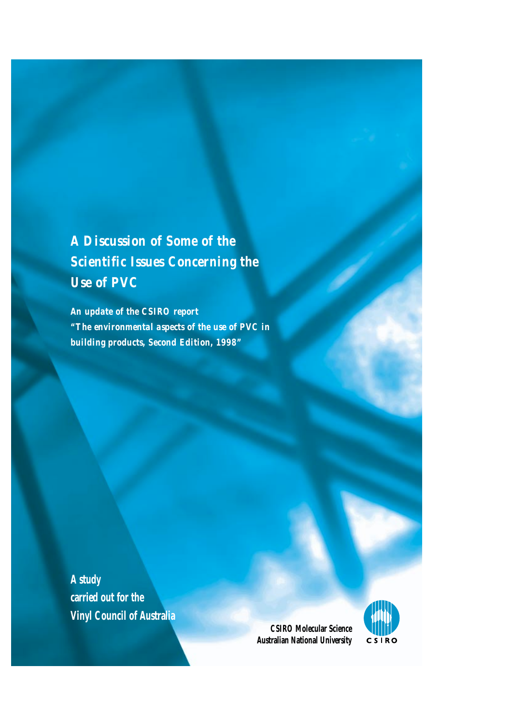*A Discussion of Some of the Scientific Issues Concerning the Use of PVC*

*An update of the CSIRO report "The environmental aspects of the use of PVC in building products, Second Edition, 1998"*

**A study carried out for the Vinyl Council of Australia**

> **CSIRO Molecular Science Australian National University**

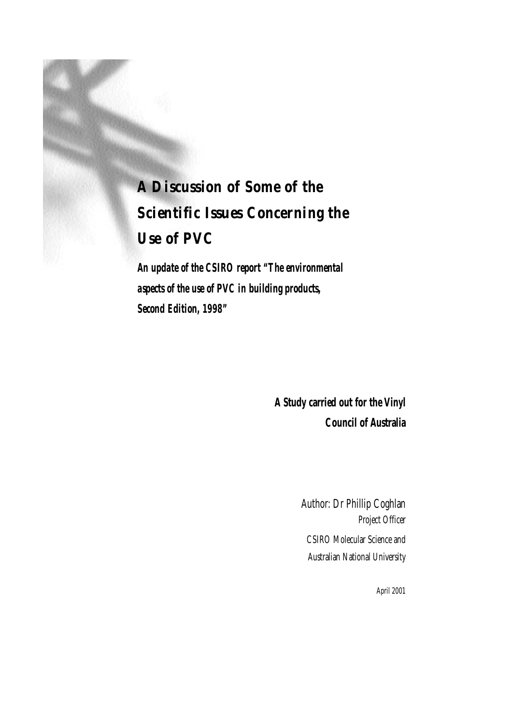# *A Discussion of Some of the Scientific Issues Concerning the Use of PVC*

*An update of the CSIRO report "The environmental aspects of the use of PVC in building products, Second Edition, 1998"*

> **A Study carried out for the Vinyl Council of Australia**

> > Author: Dr Phillip Coghlan Project Officer CSIRO Molecular Science and Australian National University

> > > April 2001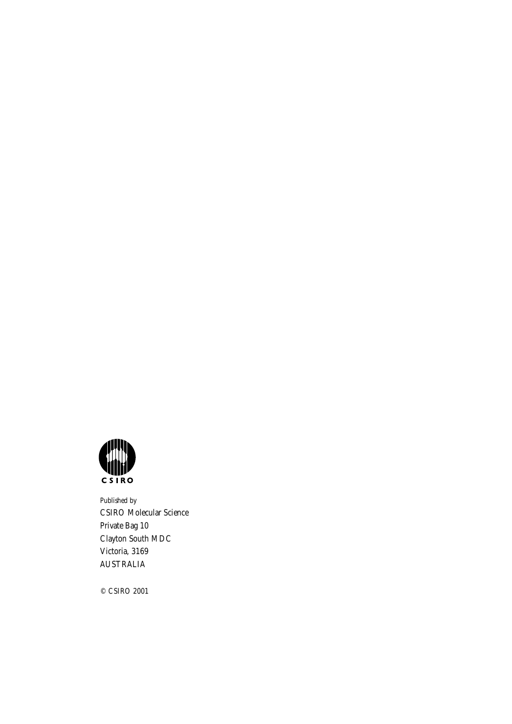

Published by CSIRO Molecular Science Private Bag 10 Clayton South MDC Victoria, 3169 AUSTRALIA

© CSIRO 2001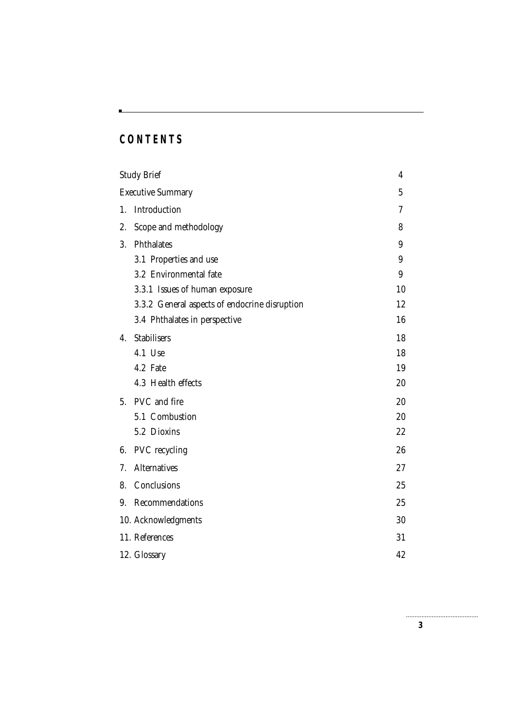# **CONTENTS**

|                          | <b>Study Brief</b>                            | 4  |
|--------------------------|-----------------------------------------------|----|
| <b>Executive Summary</b> |                                               | 5  |
| 1.                       | Introduction                                  |    |
| 2.                       | Scope and methodology                         |    |
| 3.                       | <b>Phthalates</b>                             | 9  |
|                          | 3.1 Properties and use                        | 9  |
|                          | 3.2 Environmental fate                        | 9  |
|                          | 3.3.1 Issues of human exposure                | 10 |
|                          | 3.3.2 General aspects of endocrine disruption | 12 |
|                          | 3.4 Phthalates in perspective                 | 16 |
| 4.                       | <b>Stabilisers</b>                            | 18 |
|                          | 4.1 Use                                       | 18 |
|                          | 4.2 Fate                                      | 19 |
|                          | 4.3 Health effects                            | 20 |
|                          | 5. PVC and fire                               | 20 |
|                          | 5.1 Combustion                                | 20 |
|                          | 5.2 Dioxins                                   | 22 |
| 6.                       | <b>PVC</b> recycling                          | 26 |
| 7.                       | <b>Alternatives</b>                           | 27 |
| 8.                       | Conclusions                                   | 25 |
| 9.                       | Recommendations                               | 25 |
|                          | 10. Acknowledgments                           | 30 |
|                          | 11. References                                | 31 |
|                          | 12. Glossary                                  | 42 |
|                          |                                               |    |

**3**

.............................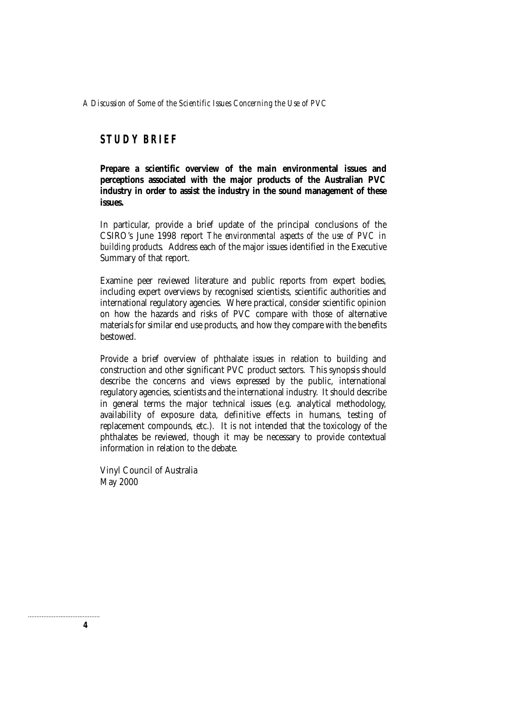### **STUDY BRIEF**

**Prepare a scientific overview of the main environmental issues and perceptions associated with the major products of the Australian PVC industry in order to assist the industry in the sound management of these issues.**

In particular, provide a brief update of the principal conclusions of the CSIRO's June 1998 report *The environmental aspects of the use of PVC in building products*. Address each of the major issues identified in the Executive Summary of that report.

Examine peer reviewed literature and public reports from expert bodies, including expert overviews by recognised scientists, scientific authorities and international regulatory agencies. Where practical, consider scientific opinion on how the hazards and risks of PVC compare with those of alternative materials for similar end use products, and how they compare with the benefits bestowed.

Provide a brief overview of phthalate issues in relation to building and construction and other significant PVC product sectors. This synopsis should describe the concerns and views expressed by the public, international regulatory agencies, scientists and the international industry. It should describe in general terms the major technical issues (e.g. analytical methodology, availability of exposure data, definitive effects in humans, testing of replacement compounds, etc.). It is not intended that the toxicology of the phthalates be reviewed, though it may be necessary to provide contextual information in relation to the debate.

Vinyl Council of Australia May 2000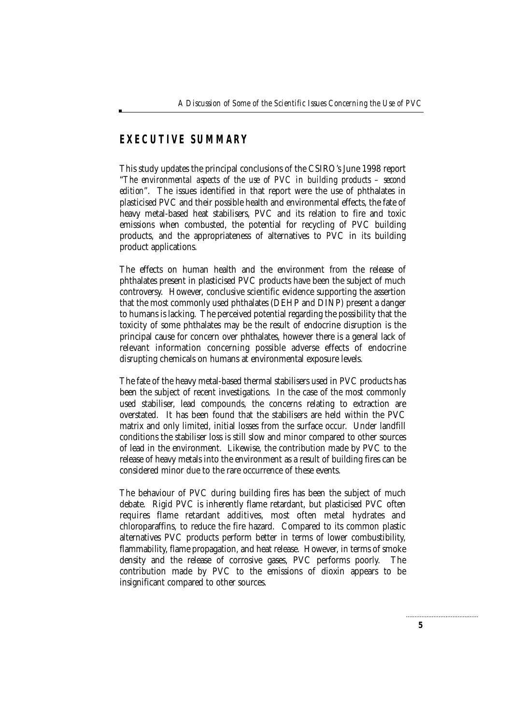### **EXECUTIVE SUMMARY**

This study updates the principal conclusions of the CSIRO's June 1998 report "*The environmental aspects of the use of PVC in building products – second edition*". The issues identified in that report were the use of phthalates in plasticised PVC and their possible health and environmental effects, the fate of heavy metal-based heat stabilisers, PVC and its relation to fire and toxic emissions when combusted, the potential for recycling of PVC building products, and the appropriateness of alternatives to PVC in its building product applications.

The effects on human health and the environment from the release of phthalates present in plasticised PVC products have been the subject of much controversy. However, conclusive scientific evidence supporting the assertion that the most commonly used phthalates (DEHP and DINP) present a danger to humans is lacking. The perceived potential regarding the possibility that the toxicity of some phthalates may be the result of endocrine disruption is the principal cause for concern over phthalates, however there is a general lack of relevant information concerning possible adverse effects of endocrine disrupting chemicals on humans at environmental exposure levels.

The fate of the heavy metal-based thermal stabilisers used in PVC products has been the subject of recent investigations. In the case of the most commonly used stabiliser, lead compounds, the concerns relating to extraction are overstated. It has been found that the stabilisers are held within the PVC matrix and only limited, initial losses from the surface occur. Under landfill conditions the stabiliser loss is still slow and minor compared to other sources of lead in the environment. Likewise, the contribution made by PVC to the release of heavy metals into the environment as a result of building fires can be considered minor due to the rare occurrence of these events.

The behaviour of PVC during building fires has been the subject of much debate. Rigid PVC is inherently flame retardant, but plasticised PVC often requires flame retardant additives, most often metal hydrates and chloroparaffins, to reduce the fire hazard. Compared to its common plastic alternatives PVC products perform better in terms of lower combustibility, flammability, flame propagation, and heat release. However, in terms of smoke density and the release of corrosive gases, PVC performs poorly. The contribution made by PVC to the emissions of dioxin appears to be insignificant compared to other sources.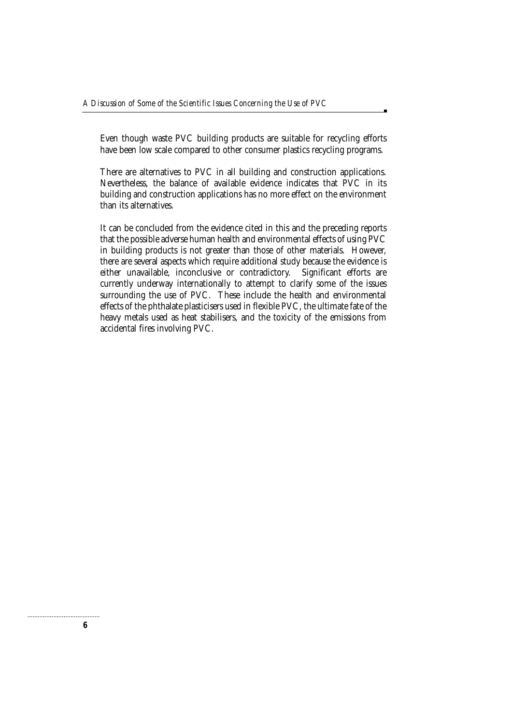Even though waste PVC building products are suitable for recycling efforts have been low scale compared to other consumer plastics recycling programs.

There are alternatives to PVC in all building and construction applications. Nevertheless, the balance of available evidence indicates that PVC in its building and construction applications has no more effect on the environment than its alternatives.

It can be concluded from the evidence cited in this and the preceding reports that the possible adverse human health and environmental effects of using PVC in building products is not greater than those of other materials. However, there are several aspects which require additional study because the evidence is either unavailable, inconclusive or contradictory. Significant efforts are currently underway internationally to attempt to clarify some of the issues surrounding the use of PVC. These include the health and environmental effects of the phthalate plasticisers used in flexible PVC, the ultimate fate of the heavy metals used as heat stabilisers, and the toxicity of the emissions from accidental fires involving PVC.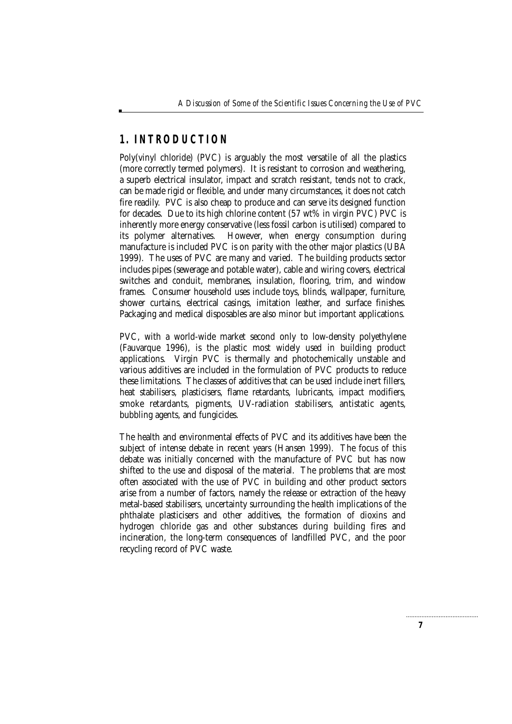# **1. INTRODUCTION**

Poly(vinyl chloride) (PVC) is arguably the most versatile of all the plastics (more correctly termed polymers). It is resistant to corrosion and weathering, a superb electrical insulator, impact and scratch resistant, tends not to crack, can be made rigid or flexible, and under many circumstances, it does not catch fire readily. PVC is also cheap to produce and can serve its designed function for decades. Due to its high chlorine content (57 wt% in virgin PVC) PVC is inherently more energy conservative (less fossil carbon is utilised) compared to its polymer alternatives. However, when energy consumption during manufacture is included PVC is on parity with the other major plastics (UBA 1999). The uses of PVC are many and varied. The building products sector includes pipes (sewerage and potable water), cable and wiring covers, electrical switches and conduit, membranes, insulation, flooring, trim, and window frames. Consumer household uses include toys, blinds, wallpaper, furniture, shower curtains, electrical casings, imitation leather, and surface finishes. Packaging and medical disposables are also minor but important applications.

PVC, with a world-wide market second only to low-density polyethylene (Fauvarque 1996), is the plastic most widely used in building product applications. Virgin PVC is thermally and photochemically unstable and various additives are included in the formulation of PVC products to reduce these limitations. The classes of additives that can be used include inert fillers, heat stabilisers, plasticisers, flame retardants, lubricants, impact modifiers, smoke retardants, pigments, UV-radiation stabilisers, antistatic agents, bubbling agents, and fungicides.

The health and environmental effects of PVC and its additives have been the subject of intense debate in recent years (Hansen 1999). The focus of this debate was initially concerned with the manufacture of PVC but has now shifted to the use and disposal of the material. The problems that are most often associated with the use of PVC in building and other product sectors arise from a number of factors, namely the release or extraction of the heavy metal-based stabilisers, uncertainty surrounding the health implications of the phthalate plasticisers and other additives, the formation of dioxins and hydrogen chloride gas and other substances during building fires and incineration, the long-term consequences of landfilled PVC, and the poor recycling record of PVC waste.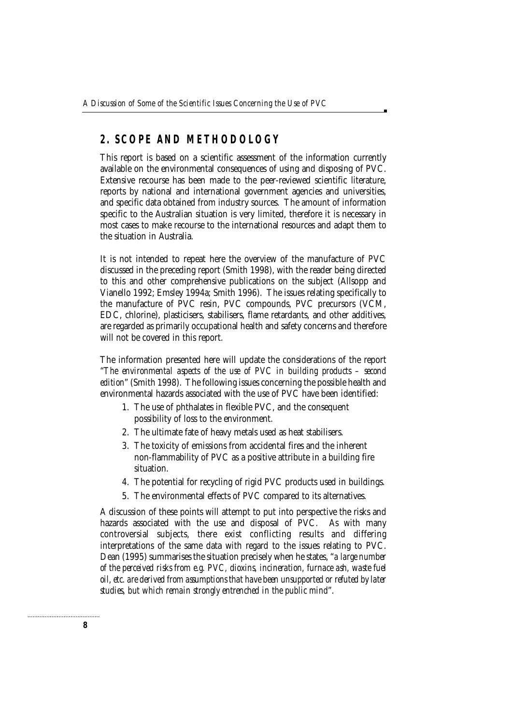# **2. SCOPE AND METHODOLOGY**

This report is based on a scientific assessment of the information currently available on the environmental consequences of using and disposing of PVC. Extensive recourse has been made to the peer-reviewed scientific literature, reports by national and international government agencies and universities, and specific data obtained from industry sources. The amount of information specific to the Australian situation is very limited, therefore it is necessary in most cases to make recourse to the international resources and adapt them to the situation in Australia.

It is not intended to repeat here the overview of the manufacture of PVC discussed in the preceding report (Smith 1998), with the reader being directed to this and other comprehensive publications on the subject (Allsopp and Vianello 1992; Emsley 1994a; Smith 1996). The issues relating specifically to the manufacture of PVC resin, PVC compounds, PVC precursors (VCM, EDC, chlorine), plasticisers, stabilisers, flame retardants, and other additives, are regarded as primarily occupational health and safety concerns and therefore will not be covered in this report.

The information presented here will update the considerations of the report "*The environmental aspects of the use of PVC in building products – second edition*" (Smith 1998). The following issues concerning the possible health and environmental hazards associated with the use of PVC have been identified:

- 1. The use of phthalates in flexible PVC, and the consequent possibility of loss to the environment.
- 2. The ultimate fate of heavy metals used as heat stabilisers.
- 3. The toxicity of emissions from accidental fires and the inherent non-flammability of PVC as a positive attribute in a building fire situation.
- 4. The potential for recycling of rigid PVC products used in buildings.
- 5. The environmental effects of PVC compared to its alternatives.

A discussion of these points will attempt to put into perspective the risks and hazards associated with the use and disposal of PVC. As with many controversial subjects, there exist conflicting results and differing interpretations of the same data with regard to the issues relating to PVC. Dean (1995) summarises the situation precisely when he states, "*a large number of the perceived risks from e.g. PVC, dioxins, incineration, furnace ash, waste fuel oil, etc. are derived from assumptions that have been unsupported or refuted by later studies, but which remain strongly entrenched in the public mind*".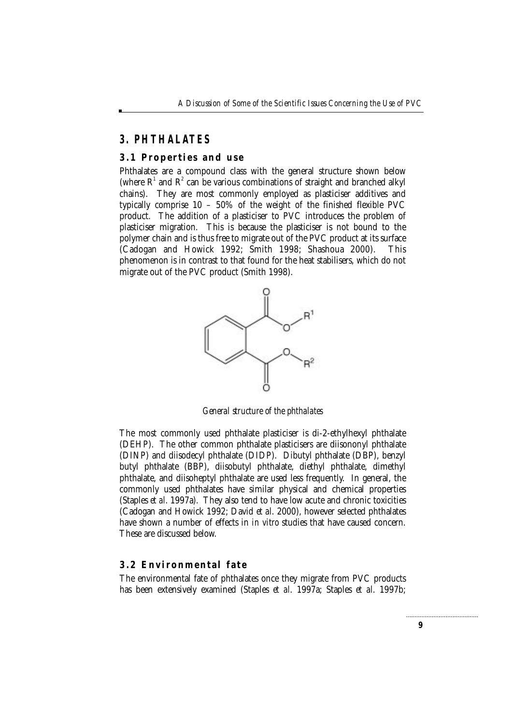# **3. PHTHALATES**

#### **3.1 Properties and use**

Phthalates are a compound class with the general structure shown below (where  $R^1$  and  $R^2$  can be various combinations of straight and branched alkyl chains). They are most commonly employed as plasticiser additives and typically comprise 10 – 50% of the weight of the finished flexible PVC product. The addition of a plasticiser to PVC introduces the problem of plasticiser migration. This is because the plasticiser is not bound to the polymer chain and is thus free to migrate out of the PVC product at its surface (Cadogan and Howick 1992; Smith 1998; Shashoua 2000). This phenomenon is in contrast to that found for the heat stabilisers, which do not migrate out of the PVC product (Smith 1998).



*General structure of the phthalates*

The most commonly used phthalate plasticiser is di-2-ethylhexyl phthalate (DEHP). The other common phthalate plasticisers are diisononyl phthalate (DINP) and diisodecyl phthalate (DIDP). Dibutyl phthalate (DBP), benzyl butyl phthalate (BBP), diisobutyl phthalate, diethyl phthalate, dimethyl phthalate, and diisoheptyl phthalate are used less frequently. In general, the commonly used phthalates have similar physical and chemical properties (Staples *et al*. 1997a). They also tend to have low acute and chronic toxicities (Cadogan and Howick 1992; David *et al*. 2000), however selected phthalates have shown a number of effects in *in vitro* studies that have caused concern. These are discussed below.

#### **3.2 Environmental fate**

The environmental fate of phthalates once they migrate from PVC products has been extensively examined (Staples *et al*. 1997a; Staples *et al*. 1997b;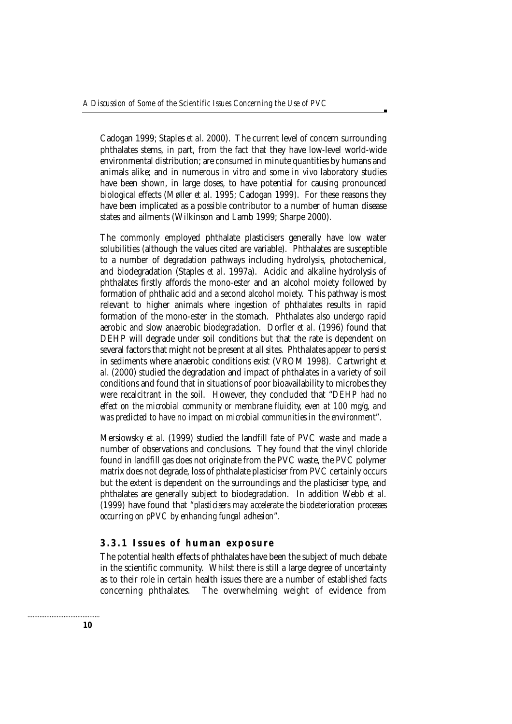Cadogan 1999; Staples *et al*. 2000). The current level of concern surrounding phthalates stems, in part, from the fact that they have low-level world-wide environmental distribution; are consumed in minute quantities by humans and animals alike; and in numerous *in vitro* and some *in vivo* laboratory studies have been shown, in large doses, to have potential for causing pronounced biological effects (Møller *et al*. 1995; Cadogan 1999). For these reasons they have been implicated as a possible contributor to a number of human disease states and ailments (Wilkinson and Lamb 1999; Sharpe 2000).

The commonly employed phthalate plasticisers generally have low water solubilities (although the values cited are variable). Phthalates are susceptible to a number of degradation pathways including hydrolysis, photochemical, and biodegradation (Staples *et al*. 1997a). Acidic and alkaline hydrolysis of phthalates firstly affords the mono-ester and an alcohol moiety followed by formation of phthalic acid and a second alcohol moiety. This pathway is most relevant to higher animals where ingestion of phthalates results in rapid formation of the mono-ester in the stomach. Phthalates also undergo rapid aerobic and slow anaerobic biodegradation. Dorfler *et al.* (1996) found that DEHP will degrade under soil conditions but that the rate is dependent on several factors that might not be present at all sites. Phthalates appear to persist in sediments where anaerobic conditions exist (VROM 1998). Cartwright *et al*. (2000) studied the degradation and impact of phthalates in a variety of soil conditions and found that in situations of poor bioavailability to microbes they were recalcitrant in the soil. However, they concluded that "*DEHP had no effect on the microbial community or membrane fluidity, even at 100 mg/g, and was predicted to have no impact on microbial communities in the environment*".

Mersiowsky *et al.* (1999) studied the landfill fate of PVC waste and made a number of observations and conclusions. They found that the vinyl chloride found in landfill gas does not originate from the PVC waste, the PVC polymer matrix does not degrade, loss of phthalate plasticiser from PVC certainly occurs but the extent is dependent on the surroundings and the plasticiser type, and phthalates are generally subject to biodegradation. In addition Webb *et al*. (1999) have found that "*plasticisers may accelerate the biodeterioration processes occurring on pPVC by enhancing fungal adhesion*".

#### **3.3.1 Issues of human exposure**

The potential health effects of phthalates have been the subject of much debate in the scientific community. Whilst there is still a large degree of uncertainty as to their role in certain health issues there are a number of established facts concerning phthalates. The overwhelming weight of evidence from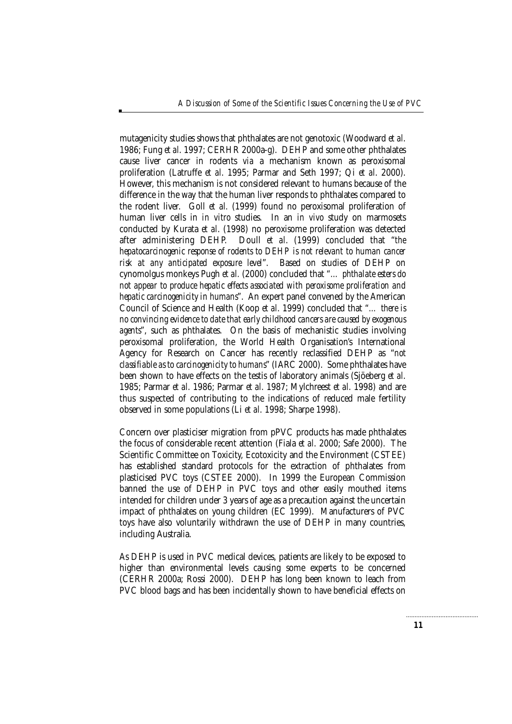mutagenicity studies shows that phthalates are not genotoxic (Woodward *et al*. 1986; Fung *et al*. 1997; CERHR 2000a-g). DEHP and some other phthalates cause liver cancer in rodents *via* a mechanism known as peroxisomal proliferation (Latruffe *et al*. 1995; Parmar and Seth 1997; Qi *et al*. 2000). However, this mechanism is not considered relevant to humans because of the difference in the way that the human liver responds to phthalates compared to the rodent liver. Goll *et al.* (1999) found no peroxisomal proliferation of human liver cells in *in vitro* studies. In an *in vivo* study on marmosets conducted by Kurata *et al*. (1998) no peroxisome proliferation was detected after administering DEHP. Doull *et al*. (1999) concluded that "*the hepatocarcinogenic response of rodents to DEHP is not relevant to human cancer risk at any anticipated exposure level*". Based on studies of DEHP on cynomolgus monkeys Pugh *et al.* (2000) concluded that "*… phthalate esters do not appear to produce hepatic effects associated with peroxisome proliferation and hepatic carcinogenicity in humans*". An expert panel convened by the American Council of Science and Health (Koop *et al*. 1999) concluded that "*… there is no convincing evidence to date that early childhood cancers are caused by exogenous agents*", such as phthalates. On the basis of mechanistic studies involving peroxisomal proliferation, the World Health Organisation's International Agency for Research on Cancer has recently reclassified DEHP as "*not classifiable as to carcinogenicity to humans*" (IARC 2000). Some phthalates have been shown to have effects on the testis of laboratory animals (Sjöeberg *et al*. 1985; Parmar *et al*. 1986; Parmar *et al*. 1987; Mylchreest *et al*. 1998) and are thus suspected of contributing to the indications of reduced male fertility observed in some populations (Li *et al*. 1998; Sharpe 1998).

Concern over plasticiser migration from pPVC products has made phthalates the focus of considerable recent attention (Fiala *et al*. 2000; Safe 2000). The Scientific Committee on Toxicity, Ecotoxicity and the Environment (CSTEE) has established standard protocols for the extraction of phthalates from plasticised PVC toys (CSTEE 2000). In 1999 the European Commission banned the use of DEHP in PVC toys and other easily mouthed items intended for children under 3 years of age as a precaution against the uncertain impact of phthalates on young children (EC 1999). Manufacturers of PVC toys have also voluntarily withdrawn the use of DEHP in many countries, including Australia.

As DEHP is used in PVC medical devices, patients are likely to be exposed to higher than environmental levels causing some experts to be concerned (CERHR 2000a; Rossi 2000). DEHP has long been known to leach from PVC blood bags and has been incidentally shown to have beneficial effects on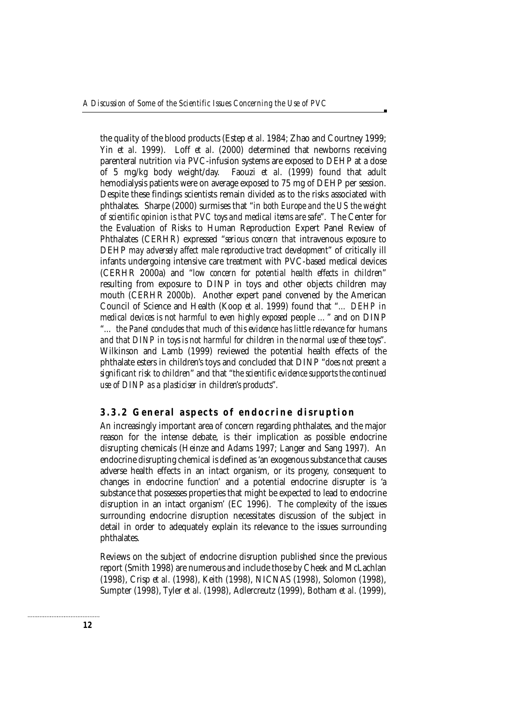the quality of the blood products (Estep *et al*. 1984; Zhao and Courtney 1999; Yin *et al*. 1999). Loff *et al*. (2000) determined that newborns receiving parenteral nutrition *via* PVC-infusion systems are exposed to DEHP at a dose<br>of 5 mg/kg body weight/day. Faouzi *et al.* (1999) found that adult Faouzi et al. (1999) found that adult hemodialysis patients were on average exposed to 75 mg of DEHP per session. Despite these findings scientists remain divided as to the risks associated with phthalates. Sharpe (2000) surmises that "*in both Europe and the US the weight of scientific opinion is that PVC toys and medical items are safe*". The Center for the Evaluation of Risks to Human Reproduction Expert Panel Review of Phthalates (CERHR) expressed "*serious concern that* intravenous *exposure* to DEHP *may adversely affect male reproductive tract development*" of critically ill infants undergoing intensive care treatment with PVC-based medical devices (CERHR 2000a) and "*low concern for potential health effects in children*" resulting from exposure to DINP in toys and other objects children may mouth (CERHR 2000b). Another expert panel convened by the American Council of Science and Health (Koop *et al*. 1999) found that "*… DEHP in medical devices is not harmful to even highly exposed* people *…*" and on DINP "*… the Panel concludes that much of this evidence has little relevance for humans and that DINP in toys is not harmful for children in the normal use of these toys*". Wilkinson and Lamb (1999) reviewed the potential health effects of the phthalate esters in children's toys and concluded that DINP "*does not present a significant risk to children*" and that "*the scientific evidence supports the continued use of DINP as a plasticiser in children's products*".

#### **3.3.2 General aspects of endocrine disruption**

An increasingly important area of concern regarding phthalates, and the major reason for the intense debate, is their implication as possible endocrine disrupting chemicals (Heinze and Adams 1997; Langer and Sang 1997). An endocrine disrupting chemical is defined as 'an exogenous substance that causes adverse health effects in an intact organism, or its progeny, consequent to changes in endocrine function' and a potential endocrine disrupter is 'a substance that possesses properties that might be expected to lead to endocrine disruption in an intact organism' (EC 1996). The complexity of the issues surrounding endocrine disruption necessitates discussion of the subject in detail in order to adequately explain its relevance to the issues surrounding phthalates.

Reviews on the subject of endocrine disruption published since the previous report (Smith 1998) are numerous and include those by Cheek and McLachlan (1998), Crisp *et al*. (1998), Keith (1998), NICNAS (1998), Solomon (1998), Sumpter (1998), Tyler *et al*. (1998), Adlercreutz (1999), Botham *et al*. (1999),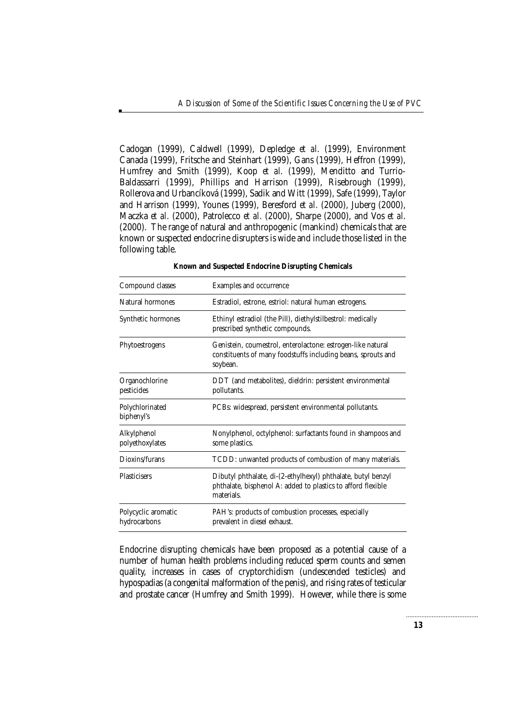Cadogan (1999), Caldwell (1999), Depledge *et al*. (1999), Environment Canada (1999), Fritsche and Steinhart (1999), Gans (1999), Heffron (1999), Humfrey and Smith (1999), Koop *et al*. (1999), Menditto and Turrio-Baldassarri (1999), Phillips and Harrison (1999), Risebrough (1999), Rollerova and Urbancíková (1999), Sadik and Witt (1999), Safe (1999), Taylor and Harrison (1999), Younes (1999), Beresford *et al*. (2000), Juberg (2000), Maczka *et al*. (2000), Patrolecco *et al*. (2000), Sharpe (2000), and Vos *et al*. (2000). The range of natural and anthropogenic (mankind) chemicals that are known or suspected endocrine disrupters is wide and include those listed in the following table.

| Compound classes                    | Examples and occurrence                                                                                                                    |
|-------------------------------------|--------------------------------------------------------------------------------------------------------------------------------------------|
| Natural hormones                    | Estradiol, estrone, estriol: natural human estrogens.                                                                                      |
| Synthetic hormones                  | Ethinyl estradiol (the Pill), diethylstilbestrol: medically<br>prescribed synthetic compounds.                                             |
| Phytoestrogens                      | Genistein, coumestrol, enterolactone: estrogen-like natural<br>constituents of many foodstuffs including beans, sprouts and<br>soybean.    |
| Organochlorine<br>pesticides        | DDT (and metabolites), dieldrin: persistent environmental<br>pollutants.                                                                   |
| Polychlorinated<br>biphenyl's       | PCBs: widespread, persistent environmental pollutants.                                                                                     |
| Alkylphenol<br>polyethoxylates      | Nonylphenol, octylphenol: surfactants found in shampoos and<br>some plastics.                                                              |
| Dioxins/furans                      | TCDD: unwanted products of combustion of many materials.                                                                                   |
| <b>Plasticisers</b>                 | Dibutyl phthalate, di-(2-ethylhexyl) phthalate, butyl benzyl<br>phthalate, bisphenol A: added to plastics to afford flexible<br>materials. |
| Polycyclic aromatic<br>hydrocarbons | PAH's: products of combustion processes, especially<br>prevalent in diesel exhaust.                                                        |

**Known and Suspected Endocrine Disrupting Chemicals**

Endocrine disrupting chemicals have been proposed as a potential cause of a number of human health problems including reduced sperm counts and semen quality, increases in cases of cryptorchidism (undescended testicles) and hypospadias (a congenital malformation of the penis), and rising rates of testicular and prostate cancer (Humfrey and Smith 1999). However, while there is some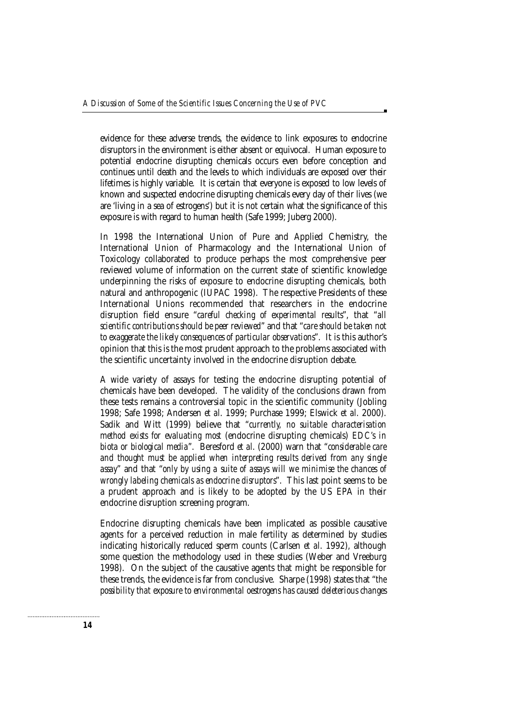evidence for these adverse trends, the evidence to link exposures to endocrine disruptors in the environment is either absent or equivocal. Human exposure to potential endocrine disrupting chemicals occurs even before conception and continues until death and the levels to which individuals are exposed over their lifetimes is highly variable. It is certain that everyone is exposed to low levels of known and suspected endocrine disrupting chemicals every day of their lives (we are 'living in a sea of estrogens') but it is not certain what the significance of this exposure is with regard to human health (Safe 1999; Juberg 2000).

In 1998 the International Union of Pure and Applied Chemistry, the International Union of Pharmacology and the International Union of Toxicology collaborated to produce perhaps the most comprehensive peer reviewed volume of information on the current state of scientific knowledge underpinning the risks of exposure to endocrine disrupting chemicals, both natural and anthropogenic (IUPAC 1998). The respective Presidents of these International Unions recommended that researchers in the endocrine disruption field ensure "*careful checking of experimental results*", that "*all scientific contributions should be peer reviewed*" and that "*care should be taken not to exaggerate the likely consequences of particular observations*". It is this author's opinion that this is the most prudent approach to the problems associated with the scientific uncertainty involved in the endocrine disruption debate.

A wide variety of assays for testing the endocrine disrupting potential of chemicals have been developed. The validity of the conclusions drawn from these tests remains a controversial topic in the scientific community (Jobling 1998; Safe 1998; Andersen *et al*. 1999; Purchase 1999; Elswick *et al*. 2000). Sadik and Witt (1999) believe that "*currently, no suitable characterisation method exists for evaluating most* (endocrine disrupting chemicals) *EDC's in biota or biological media*". Beresford *et al*. (2000) warn that "*considerable care and thought must be applied when interpreting results derived from any single assay*" and that "*only by using a suite of assays will we minimise the chances of wrongly labeling chemicals as endocrine disruptors*". This last point seems to be a prudent approach and is likely to be adopted by the US EPA in their endocrine disruption screening program.

Endocrine disrupting chemicals have been implicated as possible causative agents for a perceived reduction in male fertility as determined by studies indicating historically reduced sperm counts (Carlsen *et al*. 1992), although some question the methodology used in these studies (Weber and Vreeburg 1998). On the subject of the causative agents that might be responsible for these trends, the evidence is far from conclusive. Sharpe (1998) states that "*the possibility that exposure to environmental oestrogens has caused deleterious changes*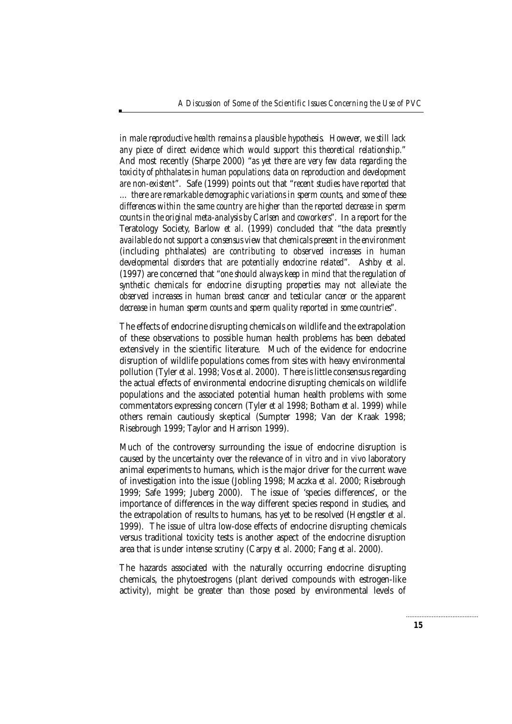*in male reproductive health remains a plausible hypothesis. However, we still lack any piece of direct evidence which would support this theoretical relationship*." And most recently (Sharpe 2000) "*as yet there are very few data regarding the toxicity of phthalates in human populations; data on reproduction and development are non-existent*". Safe (1999) points out that "*recent studies have reported that … there are remarkable demographic variations in sperm counts, and some of these differences within the same country are higher than the reported decrease in sperm counts in the original meta-analysis by Carlsen and coworkers*". In a report for the Teratology Society, Barlow *et al*. (1999) concluded that "*the data presently available do not support a consensus view that chemicals present in the environment* (including phthalates) *are contributing to observed increases in human developmental disorders that are potentially endocrine related*". Ashby *et al*. (1997) are concerned that "*one should always keep in mind that the regulation of synthetic chemicals for endocrine disrupting properties may not alleviate the observed increases in human breast cancer and testicular cancer or the apparent decrease in human sperm counts and sperm quality reported in some countries*".

The effects of endocrine disrupting chemicals on wildlife and the extrapolation of these observations to possible human health problems has been debated extensively in the scientific literature. Much of the evidence for endocrine disruption of wildlife populations comes from sites with heavy environmental pollution (Tyler *et al*. 1998; Vos *et al*. 2000). There is little consensus regarding the actual effects of environmental endocrine disrupting chemicals on wildlife populations and the associated potential human health problems with some commentators expressing concern (Tyler *et al* 1998; Botham *et al*. 1999) while others remain cautiously skeptical (Sumpter 1998; Van der Kraak 1998; Risebrough 1999; Taylor and Harrison 1999).

Much of the controversy surrounding the issue of endocrine disruption is caused by the uncertainty over the relevance of *in vitro* and *in vivo* laboratory animal experiments to humans, which is the major driver for the current wave of investigation into the issue (Jobling 1998; Maczka *et al*. 2000; Risebrough 1999; Safe 1999; Juberg 2000). The issue of 'species differences', or the importance of differences in the way different species respond in studies, and the extrapolation of results to humans, has yet to be resolved (Hengstler *et al*. 1999). The issue of ultra low-dose effects of endocrine disrupting chemicals versus traditional toxicity tests is another aspect of the endocrine disruption area that is under intense scrutiny (Carpy *et al*. 2000; Fang *et al*. 2000).

The hazards associated with the naturally occurring endocrine disrupting chemicals, the phytoestrogens (plant derived compounds with estrogen-like activity), might be greater than those posed by environmental levels of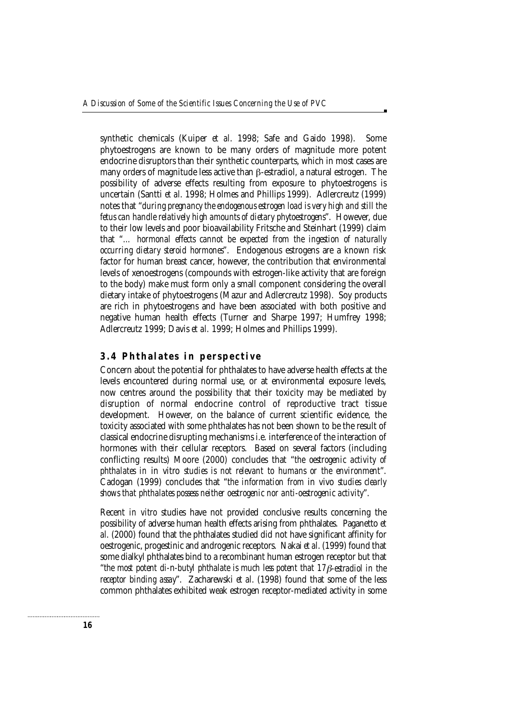synthetic chemicals (Kuiper *et al*. 1998; Safe and Gaido 1998). Some phytoestrogens are known to be many orders of magnitude more potent endocrine disruptors than their synthetic counterparts, which in most cases are many orders of magnitude less active than β-estradiol, a natural estrogen. The possibility of adverse effects resulting from exposure to phytoestrogens is uncertain (Santti *et al*. 1998; Holmes and Phillips 1999). Adlercreutz (1999) notes that "*during pregnancy the endogenous estrogen load is very high and still the fetus can handle relatively high amounts of dietary phytoestrogens*". However, due to their low levels and poor bioavailability Fritsche and Steinhart (1999) claim that "*… hormonal effects cannot be expected from the ingestion of naturally occurring dietary steroid hormones*". Endogenous estrogens are a known risk factor for human breast cancer, however, the contribution that environmental levels of xenoestrogens (compounds with estrogen-like activity that are foreign to the body) make must form only a small component considering the overall dietary intake of phytoestrogens (Mazur and Adlercreutz 1998). Soy products are rich in phytoestrogens and have been associated with both positive and negative human health effects (Turner and Sharpe 1997; Humfrey 1998; Adlercreutz 1999; Davis *et al*. 1999; Holmes and Phillips 1999).

#### **3.4 Phthalates in perspective**

Concern about the potential for phthalates to have adverse health effects at the levels encountered during normal use, or at environmental exposure levels, now centres around the possibility that their toxicity may be mediated by disruption of normal endocrine control of reproductive tract tissue development. However, on the balance of current scientific evidence, the toxicity associated with some phthalates has not been shown to be the result of classical endocrine disrupting mechanisms i.e. interference of the interaction of hormones with their cellular receptors. Based on several factors (including conflicting results) Moore (2000) concludes that "*the oestrogenic activity of phthalates in* in vitro *studies is not relevant to humans or the environment*". Cadogan (1999) concludes that "*the information from* in vivo *studies clearly shows that phthalates possess neither oestrogenic nor anti-oestrogenic activity*".

Recent *in vitro* studies have not provided conclusive results concerning the possibility of adverse human health effects arising from phthalates. Paganetto *et al*. (2000) found that the phthalates studied did not have significant affinity for oestrogenic, progestinic and androgenic receptors. Nakai *et al*. (1999) found that some dialkyl phthalates bind to a recombinant human estrogen receptor but that "*the most potent di-*n*-butyl phthalate is much less potent that 17*β*-estradiol in the receptor binding assay*". Zacharewski *et al*. (1998) found that some of the less common phthalates exhibited weak estrogen receptor-mediated activity in some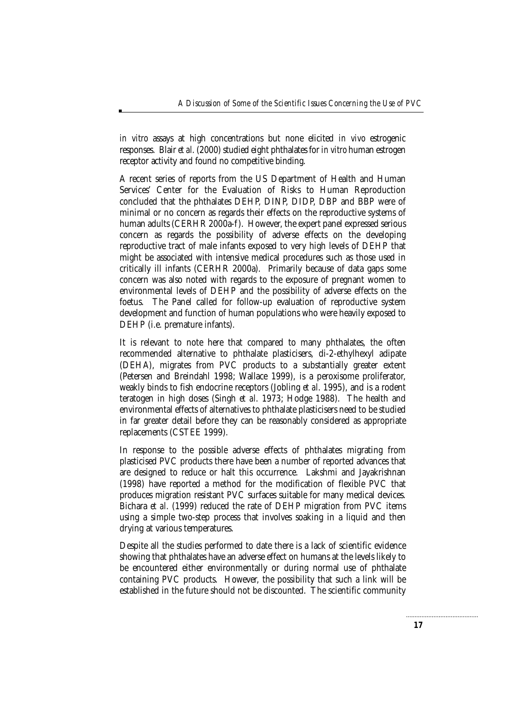*in vitro* assays at high concentrations but none elicited *in vivo* estrogenic responses. Blair *et al*. (2000) studied eight phthalates for *in vitro* human estrogen receptor activity and found no competitive binding.

A recent series of reports from the US Department of Health and Human Services' Center for the Evaluation of Risks to Human Reproduction concluded that the phthalates DEHP, DINP, DIDP, DBP and BBP were of minimal or no concern as regards their effects on the reproductive systems of human adults (CERHR 2000a-f). However, the expert panel expressed serious concern as regards the possibility of adverse effects on the developing reproductive tract of male infants exposed to very high levels of DEHP that might be associated with intensive medical procedures such as those used in critically ill infants (CERHR 2000a). Primarily because of data gaps some concern was also noted with regards to the exposure of pregnant women to environmental levels of DEHP and the possibility of adverse effects on the foetus. The Panel called for follow-up evaluation of reproductive system development and function of human populations who were heavily exposed to DEHP (i.e. premature infants).

It is relevant to note here that compared to many phthalates, the often recommended alternative to phthalate plasticisers, di-2-ethylhexyl adipate (DEHA), migrates from PVC products to a substantially greater extent (Petersen and Breindahl 1998; Wallace 1999), is a peroxisome proliferator, weakly binds to fish endocrine receptors (Jobling *et al*. 1995), and is a rodent teratogen in high doses (Singh *et al*. 1973; Hodge 1988). The health and environmental effects of alternatives to phthalate plasticisers need to be studied in far greater detail before they can be reasonably considered as appropriate replacements (CSTEE 1999).

In response to the possible adverse effects of phthalates migrating from plasticised PVC products there have been a number of reported advances that are designed to reduce or halt this occurrence. Lakshmi and Jayakrishnan (1998) have reported a method for the modification of flexible PVC that produces migration resistant PVC surfaces suitable for many medical devices. Bichara *et al*. (1999) reduced the rate of DEHP migration from PVC items using a simple two-step process that involves soaking in a liquid and then drying at various temperatures.

Despite all the studies performed to date there is a lack of scientific evidence showing that phthalates have an adverse effect on humans at the levels likely to be encountered either environmentally or during normal use of phthalate containing PVC products. However, the possibility that such a link will be established in the future should not be discounted. The scientific community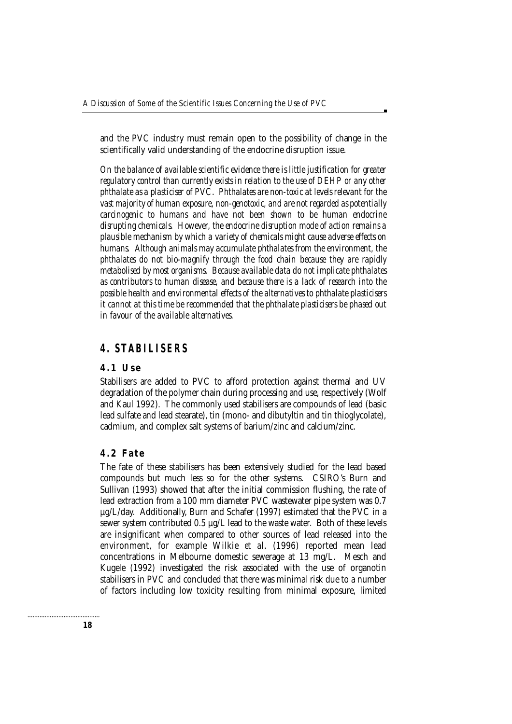and the PVC industry must remain open to the possibility of change in the scientifically valid understanding of the endocrine disruption issue.

*On the balance of available scientific evidence there is little justification for greater regulatory control than currently exists in relation to the use of DEHP or any other phthalate as a plasticiser of PVC*. *Phthalates are non-toxic at levels relevant for the vast majority of human exposure, non-genotoxic, and are not regarded as potentially carcinogenic to humans and have not been shown to be human endocrine disrupting chemicals. However, the endocrine disruption mode of action remains a plausible mechanism by which a variety of chemicals might cause adverse effects on humans. Although animals may accumulate phthalates from the environment, the phthalates do not bio-magnify through the food chain because they are rapidly metabolised by most organisms. Because available data do not implicate phthalates as contributors to human disease, and because there is a lack of research into the possible health and environmental effects of the alternatives to phthalate plasticisers it cannot at this time be recommended that the phthalate plasticisers be phased out in favour of the available alternatives.*

### **4. STABILISERS**

#### **4.1 Use**

Stabilisers are added to PVC to afford protection against thermal and UV degradation of the polymer chain during processing and use, respectively (Wolf and Kaul 1992). The commonly used stabilisers are compounds of lead (basic lead sulfate and lead stearate), tin (mono- and dibutyltin and tin thioglycolate), cadmium, and complex salt systems of barium/zinc and calcium/zinc.

#### **4.2 Fate**

The fate of these stabilisers has been extensively studied for the lead based compounds but much less so for the other systems. CSIRO's Burn and Sullivan (1993) showed that after the initial commission flushing, the rate of lead extraction from a 100 mm diameter PVC wastewater pipe system was 0.7 µg/L/day. Additionally, Burn and Schafer (1997) estimated that the PVC in a sewer system contributed 0.5 µg/L lead to the waste water. Both of these levels are insignificant when compared to other sources of lead released into the environment, for example Wilkie *et al*. (1996) reported mean lead concentrations in Melbourne domestic sewerage at 13 mg/L. Mesch and Kugele (1992) investigated the risk associated with the use of organotin stabilisers in PVC and concluded that there was minimal risk due to a number of factors including low toxicity resulting from minimal exposure, limited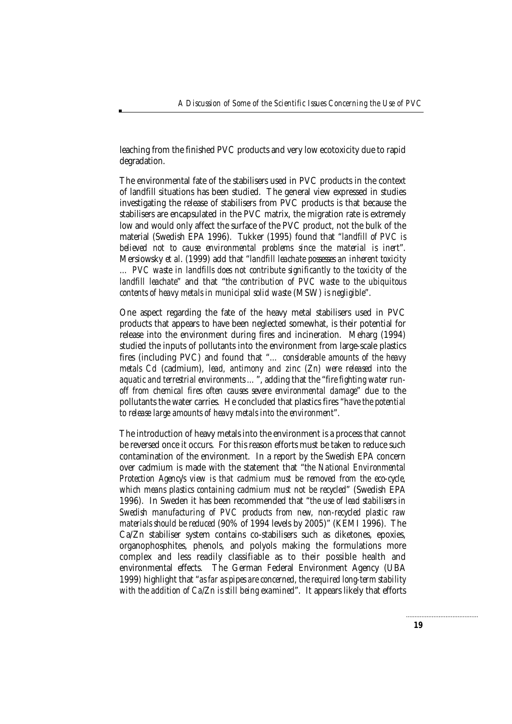leaching from the finished PVC products and very low ecotoxicity due to rapid degradation.

The environmental fate of the stabilisers used in PVC products in the context of landfill situations has been studied. The general view expressed in studies investigating the release of stabilisers from PVC products is that because the stabilisers are encapsulated in the PVC matrix, the migration rate is extremely low and would only affect the surface of the PVC product, not the bulk of the material (Swedish EPA 1996). Tukker (1995) found that "*landfill of PVC is believed not to cause environmental problems since the material is inert*". Mersiowsky *et al*. (1999) add that "*landfill leachate possesses an inherent toxicity … PVC waste in landfills does not contribute significantly to the toxicity of the landfill leachate*" and that "*the contribution of PVC waste to the ubiquitous contents of heavy metals in municipal solid waste* (MSW) *is negligible*".

One aspect regarding the fate of the heavy metal stabilisers used in PVC products that appears to have been neglected somewhat, is their potential for release into the environment during fires and incineration. Meharg (1994) studied the inputs of pollutants into the environment from large-scale plastics fires (including PVC) and found that "*… considerable amounts of the heavy metals Cd* (cadmium)*, lead, antimony and zinc (Zn) were released into the aquatic and terrestrial environments …*", adding that the "*fire fighting water runoff from chemical fires often causes severe environmental damage*" due to the pollutants the water carries. He concluded that plastics fires "*have the potential to release large amounts of heavy metals into the environment*".

The introduction of heavy metals into the environment is a process that cannot be reversed once it occurs. For this reason efforts must be taken to reduce such contamination of the environment. In a report by the Swedish EPA concern over cadmium is made with the statement that "*the National Environmental Protection Agency's view is that cadmium must be removed from the eco-cycle, which means plastics containing cadmium must not be recycled*" (Swedish EPA 1996). In Sweden it has been recommended that "*the use of lead stabilisers in Swedish manufacturing of PVC products from new, non-recycled plastic raw materials should be reduced* (90% of 1994 levels by 2005)" (KEMI 1996). The Ca/Zn stabiliser system contains co-stabilisers such as diketones, epoxies, organophosphites, phenols, and polyols making the formulations more complex and less readily classifiable as to their possible health and environmental effects. The German Federal Environment Agency (UBA 1999) highlight that "*as far as pipes are concerned, the required long-term stability with the addition of Ca/Zn is still being examined*". It appears likely that efforts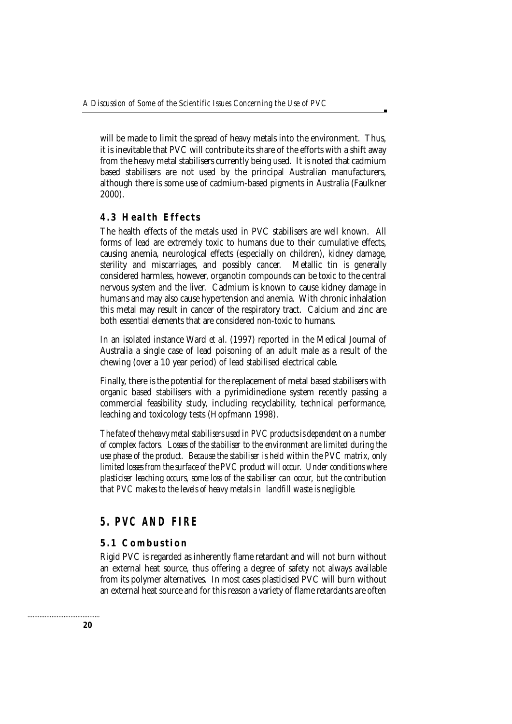will be made to limit the spread of heavy metals into the environment. Thus, it is inevitable that PVC will contribute its share of the efforts with a shift away from the heavy metal stabilisers currently being used. It is noted that cadmium based stabilisers are not used by the principal Australian manufacturers, although there is some use of cadmium-based pigments in Australia (Faulkner 2000).

#### **4.3 Health Effects**

The health effects of the metals used in PVC stabilisers are well known. All forms of lead are extremely toxic to humans due to their cumulative effects, causing anemia, neurological effects (especially on children), kidney damage, sterility and miscarriages, and possibly cancer. Metallic tin is generally considered harmless, however, organotin compounds can be toxic to the central nervous system and the liver. Cadmium is known to cause kidney damage in humans and may also cause hypertension and anemia. With chronic inhalation this metal may result in cancer of the respiratory tract. Calcium and zinc are both essential elements that are considered non-toxic to humans.

In an isolated instance Ward *et al*. (1997) reported in the Medical Journal of Australia a single case of lead poisoning of an adult male as a result of the chewing (over a 10 year period) of lead stabilised electrical cable.

Finally, there is the potential for the replacement of metal based stabilisers with organic based stabilisers with a pyrimidinedione system recently passing a commercial feasibility study, including recyclability, technical performance, leaching and toxicology tests (Hopfmann 1998).

*The fate of the heavy metal stabilisers used in PVC products is dependent on a number of complex factors. Losses of the stabiliser to the environment are limited during the use phase of the product. Because the stabiliser is held within the PVC matrix, only limited losses from the surface of the PVC product will occur. Under conditions where plasticiser leaching occurs, some loss of the stabiliser can occur, but the contribution that PVC makes to the levels of heavy metals in landfill waste is negligible.*

# **5. PVC AND FIRE**

#### **5.1 Combustion**

Rigid PVC is regarded as inherently flame retardant and will not burn without an external heat source, thus offering a degree of safety not always available from its polymer alternatives. In most cases plasticised PVC will burn without an external heat source and for this reason a variety of flame retardants are often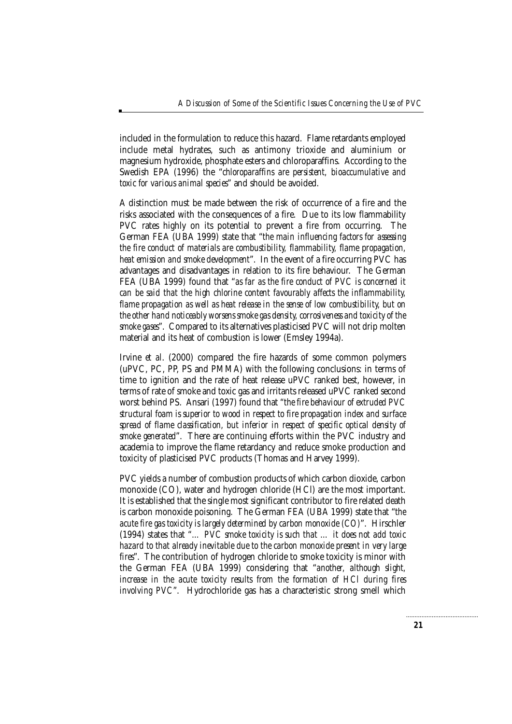included in the formulation to reduce this hazard. Flame retardants employed include metal hydrates, such as antimony trioxide and aluminium or magnesium hydroxide, phosphate esters and chloroparaffins. According to the Swedish EPA (1996) the "*chloroparaffins are persistent, bioaccumulative and toxic for various animal species*" and should be avoided.

A distinction must be made between the risk of occurrence of a fire and the risks associated with the consequences of a fire. Due to its low flammability PVC rates highly on its potential to prevent a fire from occurring. The German FEA (UBA 1999) state that "*the main influencing factors for assessing the fire conduct of materials are combustibility, flammability, flame propagation, heat emission and smoke development*". In the event of a fire occurring PVC has advantages and disadvantages in relation to its fire behaviour. The German FEA (UBA 1999) found that "*as far as the fire conduct of PVC is concerned it can be said that the high chlorine content favourably affects the inflammability, flame propagation as well as heat release in the sense of low combustibility, but on the other hand noticeably worsens smoke gas density, corrosiveness and toxicity of the smoke gases*". Compared to its alternatives plasticised PVC will not drip molten material and its heat of combustion is lower (Emsley 1994a).

Irvine *et al*. (2000) compared the fire hazards of some common polymers (uPVC, PC, PP, PS and PMMA) with the following conclusions: in terms of time to ignition and the rate of heat release uPVC ranked best, however, in terms of rate of smoke and toxic gas and irritants released uPVC ranked second worst behind PS. Ansari (1997) found that "*the fire behaviour of extruded PVC structural foam is superior to wood in respect to fire propagation index and surface spread of flame classification, but inferior in respect of specific optical density of smoke generated*". There are continuing efforts within the PVC industry and academia to improve the flame retardancy and reduce smoke production and toxicity of plasticised PVC products (Thomas and Harvey 1999).

PVC yields a number of combustion products of which carbon dioxide, carbon monoxide (CO), water and hydrogen chloride (HCl) are the most important. It is established that the single most significant contributor to fire related death is carbon monoxide poisoning. The German FEA (UBA 1999) state that "*the acute fire gas toxicity is largely determined by carbon monoxide (CO)*". Hirschler (1994) states that "*… PVC smoke toxicity is such that … it does not add toxic hazard to that already inevitable due to the carbon monoxide present in very large fires*". The contribution of hydrogen chloride to smoke toxicity is minor with the German FEA (UBA 1999) considering that "*another, although slight, increase in the acute toxicity results from the formation of HCl during fires involving PVC*". Hydrochloride gas has a characteristic strong smell which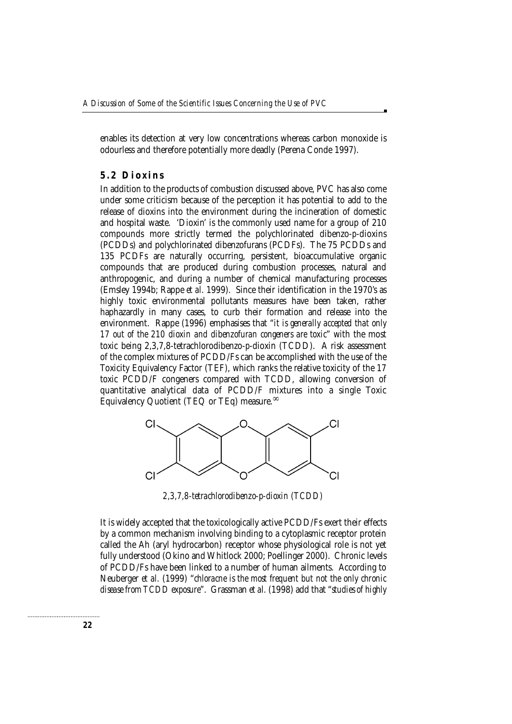enables its detection at very low concentrations whereas carbon monoxide is odourless and therefore potentially more deadly (Perena Conde 1997).

#### **5.2 Dioxins**

In addition to the products of combustion discussed above, PVC has also come under some criticism because of the perception it has potential to add to the release of dioxins into the environment during the incineration of domestic and hospital waste. 'Dioxin' is the commonly used name for a group of 210 compounds more strictly termed the polychlorinated dibenzo-*p*-dioxins (PCDDs) and polychlorinated dibenzofurans (PCDFs). The 75 PCDDs and 135 PCDFs are naturally occurring, persistent, bioaccumulative organic compounds that are produced during combustion processes, natural and anthropogenic, and during a number of chemical manufacturing processes (Emsley 1994b; Rappe *et al*. 1999). Since their identification in the 1970's as highly toxic environmental pollutants measures have been taken, rather haphazardly in many cases, to curb their formation and release into the environment. Rappe (1996) emphasises that "*it is generally accepted that only 17 out of the 210 dioxin and dibenzofuran congeners are toxic*" with the most toxic being 2,3,7,8-tetrachlorodibenzo-*p*-dioxin (TCDD). A risk assessment of the complex mixtures of PCDD/Fs can be accomplished with the use of the Toxicity Equivalency Factor (TEF), which ranks the relative toxicity of the 17 toxic PCDD/F congeners compared with TCDD, allowing conversion of quantitative analytical data of PCDD/F mixtures into a single Toxic Equivalency Quotient (TEQ or TEq) measure.∞



*2,3,7,8-tetrachlorodibenzo-p-dioxin (TCDD)*

It is widely accepted that the toxicologically active PCDD/Fs exert their effects by a common mechanism involving binding to a cytoplasmic receptor protein called the Ah (aryl hydrocarbon) receptor whose physiological role is not yet fully understood (Okino and Whitlock 2000; Poellinger 2000). Chronic levels of PCDD/Fs have been linked to a number of human ailments. According to Neuberger *et al.* (1999) "*chloracne is the most frequent but not the only chronic disease from TCDD exposure*". Grassman *et al.* (1998) add that "*studies of highly*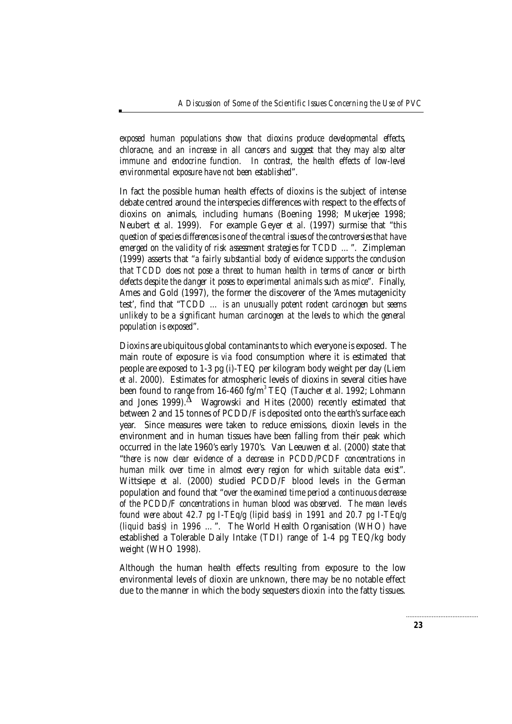*exposed human populations show that dioxins produce developmental effects, chloracne, and an increase in all cancers and suggest that they may also alter immune and endocrine function. In contrast, the health effects of low-level environmental exposure have not been established*".

In fact the possible human health effects of dioxins is the subject of intense debate centred around the interspecies differences with respect to the effects of dioxins on animals, including humans (Boening 1998; Mukerjee 1998; Neubert *et al*. 1999). For example Geyer *et al*. (1997) surmise that "*this question of species differences is one of the central issues of the controversies that have emerged on the validity of risk assessment strategies for TCDD …*". Zimpleman (1999) asserts that "*a fairly substantial body of evidence supports the conclusion that TCDD does not pose a threat to human health in terms of cancer or birth defects despite the danger it poses to experimental animals such as mice*". Finally, Ames and Gold (1997), the former the discoverer of the 'Ames mutagenicity test', find that "*TCDD … is an unusually potent rodent carcinogen but seems unlikely to be a significant human carcinogen at the levels to which the general population is exposed*".

Dioxins are ubiquitous global contaminants to which everyone is exposed. The main route of exposure is *via* food consumption where it is estimated that people are exposed to 1-3 pg (i)-TEQ per kilogram body weight per day (Liem *et al*. 2000). Estimates for atmospheric levels of dioxins in several cities have been found to range from 16-460 fg/m<sup>3</sup> TEQ (Taucher *et al*. 1992; Lohmann and Jones 1999). $^{\Delta}$  Wagrowski and Hites (2000) recently estimated that between 2 and 15 tonnes of PCDD/F is deposited onto the earth's surface each year. Since measures were taken to reduce emissions, dioxin levels in the environment and in human tissues have been falling from their peak which occurred in the late 1960's early 1970's. Van Leeuwen *et al.* (2000) state that "*there is now clear evidence of a decrease in PCDD/PCDF concentrations in human milk over time in almost every region for which suitable data exist*". Wittsiepe *et al.* (2000) studied PCDD/F blood levels in the German population and found that "*over the examined time period a continuous decrease of the PCDD/F concentrations in human blood was observed. The mean levels found were about 42.7 pg I-TEq/g (lipid basis) in 1991 and 20.7 pg I-TEq/g (liquid basis) in 1996 …*". The World Health Organisation (WHO) have established a Tolerable Daily Intake (TDI) range of 1-4 pg TEQ/kg body weight (WHO 1998).

Although the human health effects resulting from exposure to the low environmental levels of dioxin are unknown, there may be no notable effect due to the manner in which the body sequesters dioxin into the fatty tissues.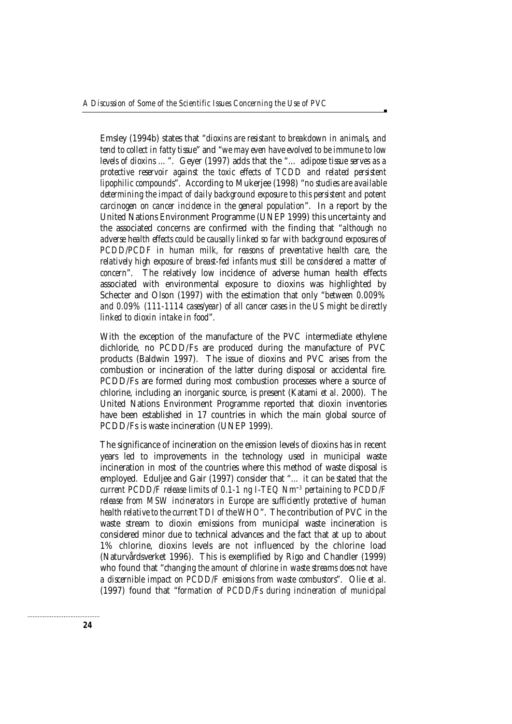Emsley (1994b) states that "*dioxins are resistant to breakdown in animals, and tend to collect in fatty tissue*" and "*we may even have evolved to be immune to low levels of dioxins …*". Geyer (1997) adds that the "*… adipose tissue serves as a protective reservoir against the toxic effects of TCDD and related persistent lipophilic compounds*". According to Mukerjee (1998) "*no studies are available determining the impact of daily background exposure to this persistent and potent carcinogen on cancer incidence in the general population*". In a report by the United Nations Environment Programme (UNEP 1999) this uncertainty and the associated concerns are confirmed with the finding that "*although no adverse health effects could be causally linked so far with background exposures of PCDD/PCDF in human milk, for reasons of preventative health care, the relatively high exposure of breast-fed infants must still be considered a matter of concern*". The relatively low incidence of adverse human health effects associated with environmental exposure to dioxins was highlighted by Schecter and Olson (1997) with the estimation that only "*between 0.009% and 0.09% (111-1114 cases/year) of all cancer cases in the US might be directly linked to dioxin intake in food*".

With the exception of the manufacture of the PVC intermediate ethylene dichloride, no PCDD/Fs are produced during the manufacture of PVC products (Baldwin 1997). The issue of dioxins and PVC arises from the combustion or incineration of the latter during disposal or accidental fire. PCDD/Fs are formed during most combustion processes where a source of chlorine, including an inorganic source, is present (Katami *et al*. 2000). The United Nations Environment Programme reported that dioxin inventories have been established in 17 countries in which the main global source of PCDD/Fs is waste incineration (UNEP 1999).

The significance of incineration on the emission levels of dioxins has in recent years led to improvements in the technology used in municipal waste incineration in most of the countries where this method of waste disposal is employed. Eduljee and Gair (1997) consider that "*… it can be stated that the current PCDD/F release limits of 0.1-1 ng I-TEQ Nm*-3 *pertaining to PCDD/F release from MSW incinerators in Europe are sufficiently protective of human health relative to the current TDI of the WHO*". The contribution of PVC in the waste stream to dioxin emissions from municipal waste incineration is considered minor due to technical advances and the fact that at up to about 1% chlorine, dioxins levels are not influenced by the chlorine load (Naturvårdsverket 1996). This is exemplified by Rigo and Chandler (1999) who found that "*changing the amount of chlorine in waste streams does not have a discernible impact on PCDD/F emissions from waste combustors*". Olie *et al*. (1997) found that "*formation of PCDD/Fs during incineration of municipal*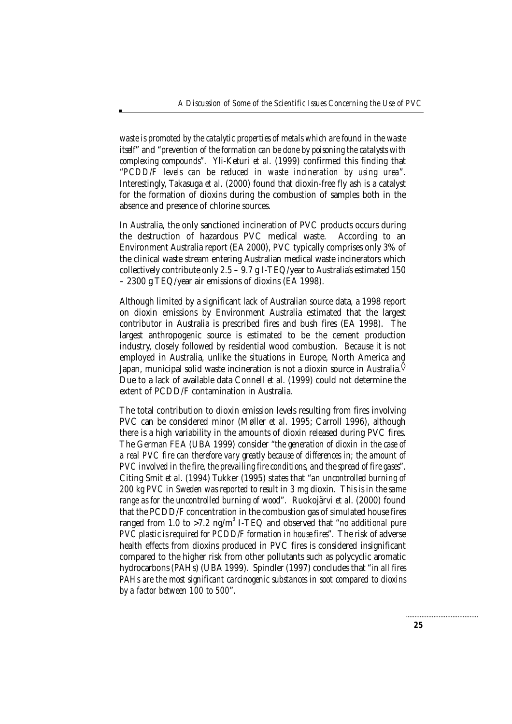*waste is promoted by the catalytic properties of metals which are found in the waste itself*" and "*prevention of the formation can be done by poisoning the catalysts with complexing compounds*". Yli-Keturi *et al.* (1999) confirmed this finding that "*PCDD/F levels can be reduced in waste incineration by using urea*". Interestingly, Takasuga *et al*. (2000) found that dioxin-free fly ash is a catalyst for the formation of dioxins during the combustion of samples both in the absence and presence of chlorine sources.

In Australia, the only sanctioned incineration of PVC products occurs during the destruction of hazardous PVC medical waste. According to an Environment Australia report (EA 2000), PVC typically comprises only 3% of the clinical waste stream entering Australian medical waste incinerators which collectively contribute only 2.5 – 9.7 g I-TEQ/year to Australia's estimated 150 – 2300 g TEQ/year air emissions of dioxins (EA 1998).

Although limited by a significant lack of Australian source data, a 1998 report on dioxin emissions by Environment Australia estimated that the largest contributor in Australia is prescribed fires and bush fires (EA 1998). The largest anthropogenic source is estimated to be the cement production industry, closely followed by residential wood combustion. Because it is not employed in Australia, unlike the situations in Europe, North America and Japan, municipal solid waste incineration is not a dioxin source in Australia. $\Diamond$ Due to a lack of available data Connell *et al*. (1999) could not determine the extent of PCDD/F contamination in Australia.

The total contribution to dioxin emission levels resulting from fires involving PVC can be considered minor (Møller *et al*. 1995; Carroll 1996), although there is a high variability in the amounts of dioxin released during PVC fires. The German FEA (UBA 1999) consider "*the generation of dioxin in the case of a real PVC fire can therefore vary greatly because of differences in; the amount of PVC involved in the fire, the prevailing fire conditions, and the spread of fire gases*". Citing Smit *et al*. (1994) Tukker (1995) states that "*an uncontrolled burning of 200 kg PVC in Sweden was reported to result in 3 mg* dioxin*. This is in the same range as for the uncontrolled burning of wood*". Ruokojärvi *et al*. (2000) found that the PCDD/F concentration in the combustion gas of simulated house fires ranged from 1.0 to >7.2 ng/m<sup>3</sup> I-TEQ and observed that "*no additional pure PVC plastic is required for PCDD/F formation in house fires*". The risk of adverse health effects from dioxins produced in PVC fires is considered insignificant compared to the higher risk from other pollutants such as polycyclic aromatic hydrocarbons (PAHs) (UBA 1999). Spindler (1997) concludes that "*in all fires PAHs are the most significant carcinogenic substances in soot compared to dioxins by a factor between 100 to 500*".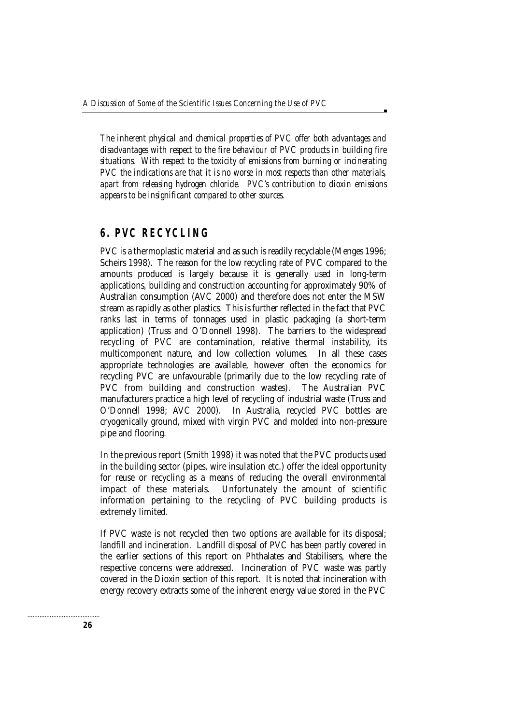*The inherent physical and chemical properties of PVC offer both advantages and disadvantages with respect to the fire behaviour of PVC products in building fire situations. With respect to the toxicity of emissions from burning or incinerating PVC the indications are that it is no worse in most respects than other materials, apart from releasing hydrogen chloride. PVC's contribution to dioxin emissions appears to be insignificant compared to other sources.*

### **6. PVC RECYCLING**

PVC is a thermoplastic material and as such is readily recyclable (Menges 1996; Scheirs 1998). The reason for the low recycling rate of PVC compared to the amounts produced is largely because it is generally used in long-term applications, building and construction accounting for approximately 90% of Australian consumption (AVC 2000) and therefore does not enter the MSW stream as rapidly as other plastics. This is further reflected in the fact that PVC ranks last in terms of tonnages used in plastic packaging (a short-term application) (Truss and O'Donnell 1998). The barriers to the widespread recycling of PVC are contamination, relative thermal instability, its multicomponent nature, and low collection volumes. In all these cases appropriate technologies are available, however often the economics for recycling PVC are unfavourable (primarily due to the low recycling rate of PVC from building and construction wastes). The Australian PVC manufacturers practice a high level of recycling of industrial waste (Truss and O'Donnell 1998; AVC 2000). In Australia, recycled PVC bottles are cryogenically ground, mixed with virgin PVC and molded into non-pressure pipe and flooring.

In the previous report (Smith 1998) it was noted that the PVC products used in the building sector (pipes, wire insulation etc.) offer the ideal opportunity for reuse or recycling as a means of reducing the overall environmental impact of these materials. Unfortunately the amount of scientific information pertaining to the recycling of PVC building products is extremely limited.

If PVC waste is not recycled then two options are available for its disposal; landfill and incineration. Landfill disposal of PVC has been partly covered in the earlier sections of this report on Phthalates and Stabilisers, where the respective concerns were addressed. Incineration of PVC waste was partly covered in the Dioxin section of this report. It is noted that incineration with energy recovery extracts some of the inherent energy value stored in the PVC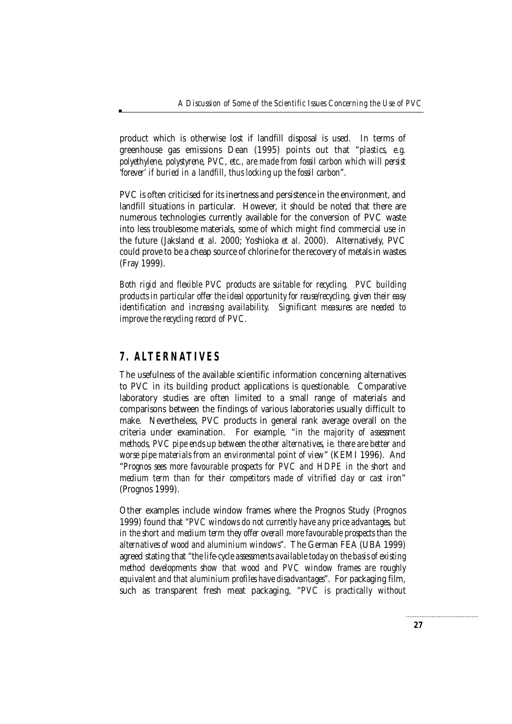product which is otherwise lost if landfill disposal is used. In terms of greenhouse gas emissions Dean (1995) points out that "*plastics, e.g. polyethylene, polystyrene, PVC, etc., are made from fossil carbon which will persist 'forever' if buried in a landfill, thus locking up the fossil carbon*".

PVC is often criticised for its inertness and persistence in the environment, and landfill situations in particular. However, it should be noted that there are numerous technologies currently available for the conversion of PVC waste into less troublesome materials, some of which might find commercial use in the future (Jaksland *et al*. 2000; Yoshioka *et al*. 2000). Alternatively, PVC could prove to be a cheap source of chlorine for the recovery of metals in wastes (Fray 1999).

*Both rigid and flexible PVC products are suitable for recycling. PVC building products in particular offer the ideal opportunity for reuse/recycling, given their easy identification and increasing availability. Significant measures are needed to improve the recycling record of PVC.*

# **7. ALTERNATIVES**

The usefulness of the available scientific information concerning alternatives to PVC in its building product applications is questionable. Comparative laboratory studies are often limited to a small range of materials and comparisons between the findings of various laboratories usually difficult to make. Nevertheless, PVC products in general rank average overall on the criteria under examination. For example, "*in the majority of assessment methods, PVC pipe ends up between the other alternatives, ie. there are better and worse pipe materials from an environmental point of view*" (KEMI 1996). And "*Prognos sees more favourable prospects for PVC and HDPE in the short and medium term than for their competitors made of vitrified clay or cast iron*" (Prognos 1999).

Other examples include window frames where the Prognos Study (Prognos 1999) found that "*PVC windows do not currently have any price advantages, but in the short and medium term they offer overall more favourable prospects than the alternatives of wood and aluminium windows*". The German FEA (UBA 1999) agreed stating that "*the life-cycle assessments available today on the basis of existing method developments show that wood and PVC window frames are roughly equivalent and that aluminium profiles have disadvantages*". For packaging film, such as transparent fresh meat packaging, "*PVC is practically without*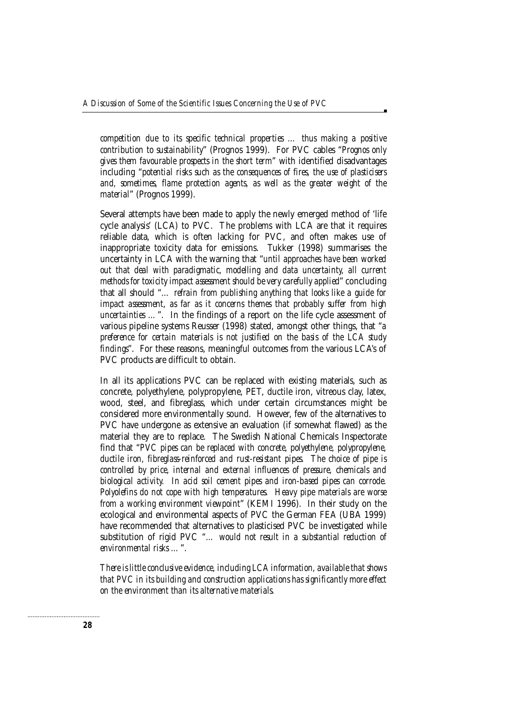*competition due to its specific technical properties … thus making a positive contribution to sustainability*" (Prognos 1999). For PVC cables "*Prognos only gives them favourable prospects in the short term*" with identified disadvantages including "*potential risks such as the consequences of fires, the use of plasticisers and, sometimes, flame protection agents, as well as the greater weight of the material*" (Prognos 1999).

Several attempts have been made to apply the newly emerged method of 'life cycle analysis' (LCA) to PVC. The problems with LCA are that it requires reliable data, which is often lacking for PVC, and often makes use of inappropriate toxicity data for emissions. Tukker (1998) summarises the uncertainty in LCA with the warning that "*until approaches have been worked out that deal with paradigmatic, modelling and data uncertainty, all current methods for toxicity impact assessment should be very carefully applied*" concluding that all should "*… refrain from publishing anything that looks like a guide for impact assessment, as far as it concerns themes that probably suffer from high uncertainties ...*". In the findings of a report on the life cycle assessment of various pipeline systems Reusser (1998) stated, amongst other things, that "*a preference for certain materials is not justified on the basis of the LCA study findings*". For these reasons, meaningful outcomes from the various LCA's of PVC products are difficult to obtain.

In all its applications PVC can be replaced with existing materials, such as concrete, polyethylene, polypropylene, PET, ductile iron, vitreous clay, latex, wood, steel, and fibreglass, which under certain circumstances might be considered more environmentally sound. However, few of the alternatives to PVC have undergone as extensive an evaluation (if somewhat flawed) as the material they are to replace. The Swedish National Chemicals Inspectorate find that "*PVC pipes can be replaced with concrete, polyethylene, polypropylene, ductile iron, fibreglass-reinforced and rust-resistant pipes. The choice of pipe is controlled by price, internal and external influences of pressure, chemicals and biological activity. In acid soil cement pipes and iron-based pipes can corrode. Polyolefins do not cope with high temperatures. Heavy pipe materials are worse from a working environment viewpoint*" (KEMI 1996). In their study on the ecological and environmental aspects of PVC the German FEA (UBA 1999) have recommended that alternatives to plasticised PVC be investigated while substitution of rigid PVC "*… would not result in a substantial reduction of environmental risks …*".

*There is little conclusive evidence, including LCA information, available that shows that PVC in its building and construction applications has significantly more effect on the environment than its alternative materials.*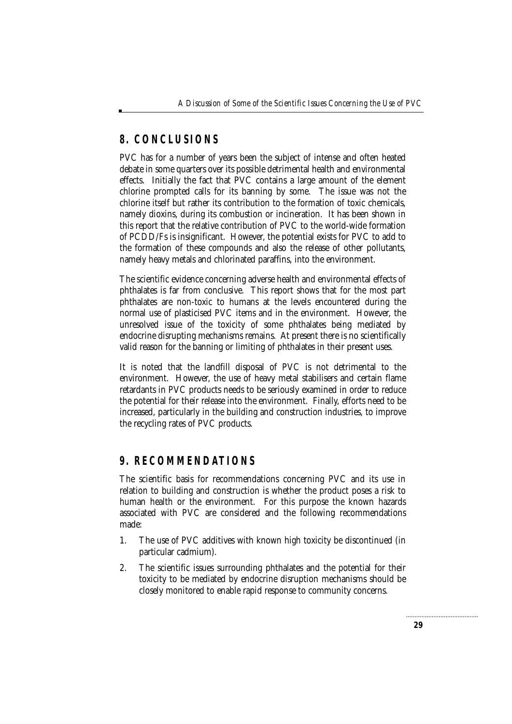# **8. CONCLUSIONS**

PVC has for a number of years been the subject of intense and often heated debate in some quarters over its possible detrimental health and environmental effects. Initially the fact that PVC contains a large amount of the element chlorine prompted calls for its banning by some. The issue was not the chlorine itself but rather its contribution to the formation of toxic chemicals, namely dioxins, during its combustion or incineration. It has been shown in this report that the relative contribution of PVC to the world-wide formation of PCDD/Fs is insignificant. However, the potential exists for PVC to add to the formation of these compounds and also the release of other pollutants, namely heavy metals and chlorinated paraffins, into the environment.

The scientific evidence concerning adverse health and environmental effects of phthalates is far from conclusive. This report shows that for the most part phthalates are non-toxic to humans at the levels encountered during the normal use of plasticised PVC items and in the environment. However, the unresolved issue of the toxicity of some phthalates being mediated by endocrine disrupting mechanisms remains. At present there is no scientifically valid reason for the banning or limiting of phthalates in their present uses.

It is noted that the landfill disposal of PVC is not detrimental to the environment. However, the use of heavy metal stabilisers and certain flame retardants in PVC products needs to be seriously examined in order to reduce the potential for their release into the environment. Finally, efforts need to be increased, particularly in the building and construction industries, to improve the recycling rates of PVC products.

# **9. RECOMMENDATIONS**

The scientific basis for recommendations concerning PVC and its use in relation to building and construction is whether the product poses a risk to human health or the environment. For this purpose the known hazards associated with PVC are considered and the following recommendations made:

- 1. The use of PVC additives with known high toxicity be discontinued (in particular cadmium).
- 2. The scientific issues surrounding phthalates and the potential for their toxicity to be mediated by endocrine disruption mechanisms should be closely monitored to enable rapid response to community concerns.

. . . . . . . . . . . . . . . . .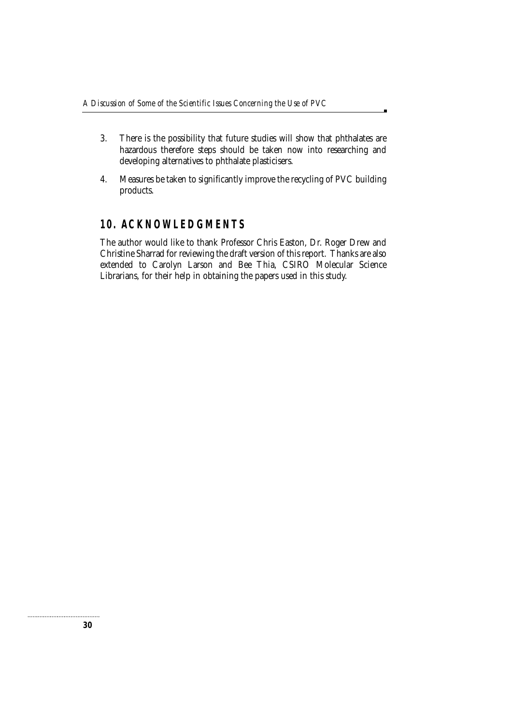- 3. There is the possibility that future studies will show that phthalates are hazardous therefore steps should be taken now into researching and developing alternatives to phthalate plasticisers.
- 4. Measures be taken to significantly improve the recycling of PVC building products.

### **10. ACKNOWLEDGMENTS**

The author would like to thank Professor Chris Easton, Dr. Roger Drew and Christine Sharrad for reviewing the draft version of this report. Thanks are also extended to Carolyn Larson and Bee Thia, CSIRO Molecular Science Librarians, for their help in obtaining the papers used in this study.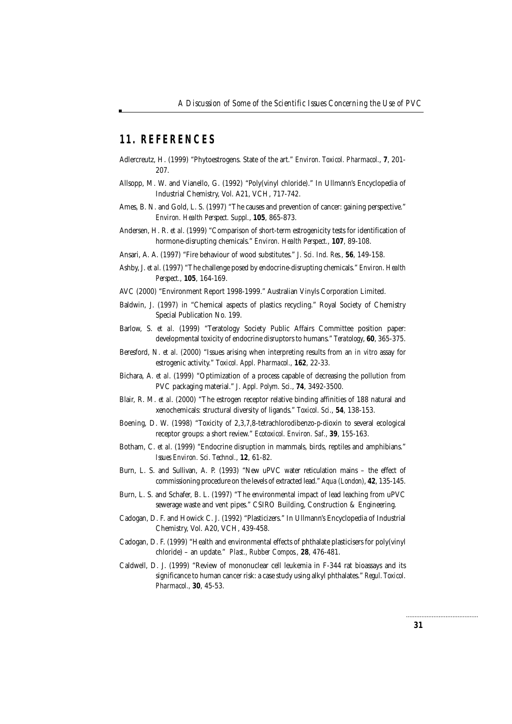#### **11. REFERENCES**

- Adlercreutz, H. (1999) "Phytoestrogens. State of the art." *Environ. Toxicol. Pharmacol.*, **7**, 201- 207.
- Allsopp, M. W. and Vianello, G. (1992) "Poly(vinyl chloride)." In Ullmann's Encyclopedia of Industrial Chemistry, Vol. A21, VCH, 717-742.
- Ames, B. N. and Gold, L. S. (1997) "The causes and prevention of cancer: gaining perspective." *Environ. Health Perspect. Suppl.*, **105**, 865-873.
- Andersen, H. R. *et al*. (1999) "Comparison of short-term estrogenicity tests for identification of hormone-disrupting chemicals." *Environ. Health Perspect.*, **107**, 89-108.
- Ansari, A. A. (1997) "Fire behaviour of wood substitutes." *J. Sci. Ind. Res.*, **56**, 149-158.
- Ashby, J. *et al.* (1997) "The challenge posed by endocrine-disrupting chemicals." *Environ. Health Perspect.*, **105**, 164-169.
- AVC (2000) "Environment Report 1998-1999." Australian Vinyls Corporation Limited.
- Baldwin, J. (1997) in "Chemical aspects of plastics recycling." Royal Society of Chemistry Special Publication No. 199.
- Barlow, S. *et al*. (1999) "Teratology Society Public Affairs Committee position paper: developmental toxicity of endocrine disruptors to humans." *Teratology*, **60**, 365-375.
- Beresford, N. *et al.* (2000) "Issues arising when interpreting results from an *in vitro* assay for estrogenic activity." *Toxicol. Appl. Pharmacol.*, **162**, 22-33.
- Bichara, A. *et al*. (1999) "Optimization of a process capable of decreasing the pollution from PVC packaging material." *J. Appl. Polym. Sci.*, **74**, 3492-3500.
- Blair, R. M. *et al*. (2000) "The estrogen receptor relative binding affinities of 188 natural and xenochemicals: structural diversity of ligands." *Toxicol. Sci.*, **54**, 138-153.
- Boening, D. W. (1998) "Toxicity of 2,3,7,8-tetrachlorodibenzo-*p*-dioxin to several ecological receptor groups: a short review." *Ecotoxicol. Environ. Saf.*, **39**, 155-163.
- Botham, C. *et al*. (1999) "Endocrine disruption in mammals, birds, reptiles and amphibians." *Issues Environ. Sci. Technol.*, **12**, 61-82.
- Burn, L. S. and Sullivan, A. P. (1993) "New uPVC water reticulation mains the effect of commissioning procedure on the levels of extracted lead." *Aqua (London)*, **42**, 135-145.
- Burn, L. S. and Schafer, B. L. (1997) "The environmental impact of lead leaching from uPVC sewerage waste and vent pipes." CSIRO Building, Construction & Engineering.
- Cadogan, D. F. and Howick C. J. (1992) "Plasticizers." In Ullmann's Encyclopedia of Industrial Chemistry, Vol. A20, VCH, 439-458.
- Cadogan, D. F. (1999) "Health and environmental effects of phthalate plasticisers for poly(vinyl chloride) – an update." *Plast., Rubber Compos.,* **28**, 476-481.
- Caldwell, D. J. (1999) "Review of mononuclear cell leukemia in F-344 rat bioassays and its significance to human cancer risk: a case study using alkyl phthalates." *Regul. Toxicol. Pharmacol.,* **30**, 45-53.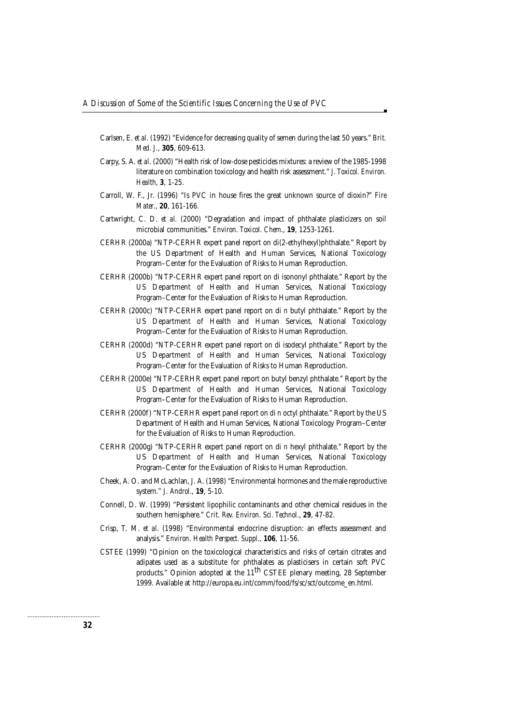- Carlsen, E. *et al*. (1992) "Evidence for decreasing quality of semen during the last 50 years." *Brit. Med. J.*, **305**, 609-613.
- Carpy, S. A. *et al*. (2000) "Health risk of low-dose pesticides mixtures: a review of the 1985-1998 literature on combination toxicology and health risk assessment." *J. Toxicol. Environ. Health*, **3**, 1-25.
- Carroll, W. F., Jr. (1996) "Is PVC in house fires the great unknown source of dioxin?" *Fire Mater.*, **20**, 161-166.
- Cartwright, C. D. *et al*. (2000) "Degradation and impact of phthalate plasticizers on soil microbial communities." *Environ. Toxicol. Chem.*, **19**, 1253-1261.
- CERHR (2000a) "NTP-CERHR expert panel report on di(2-ethylhexyl)phthalate." Report by the US Department of Health and Human Services, National Toxicology Program–Center for the Evaluation of Risks to Human Reproduction.
- CERHR (2000b) "NTP-CERHR expert panel report on di isononyl phthalate." Report by the US Department of Health and Human Services, National Toxicology Program–Center for the Evaluation of Risks to Human Reproduction.
- CERHR (2000c) "NTP-CERHR expert panel report on di *n* butyl phthalate." Report by the US Department of Health and Human Services, National Toxicology Program–Center for the Evaluation of Risks to Human Reproduction.
- CERHR (2000d) "NTP-CERHR expert panel report on di isodecyl phthalate." Report by the US Department of Health and Human Services, National Toxicology Program–Center for the Evaluation of Risks to Human Reproduction.
- CERHR (2000e) "NTP-CERHR expert panel report on butyl benzyl phthalate." Report by the US Department of Health and Human Services, National Toxicology Program–Center for the Evaluation of Risks to Human Reproduction.
- CERHR (2000f) "NTP-CERHR expert panel report on di *n* octyl phthalate." Report by the US Department of Health and Human Services, National Toxicology Program–Center for the Evaluation of Risks to Human Reproduction.
- CERHR (2000g) "NTP-CERHR expert panel report on di *n* hexyl phthalate." Report by the US Department of Health and Human Services, National Toxicology Program–Center for the Evaluation of Risks to Human Reproduction.
- Cheek, A. O. and McLachlan, J. A. (1998) "Environmental hormones and the male reproductive system." *J. Androl.*, **19**, 5-10.
- Connell, D. W. (1999) "Persistent lipophilic contaminants and other chemical residues in the southern hemisphere." *Crit. Rev. Environ. Sci. Technol.*, **29**, 47-82.
- Crisp, T. M. *et al*. (1998) "Environmental endocrine disruption: an effects assessment and analysis." *Environ. Health Perspect. Suppl*., **106**, 11-56.
- CSTEE (1999) "Opinion on the toxicological characteristics and risks of certain citrates and adipates used as a substitute for phthalates as plasticisers in certain soft PVC products." Opinion adopted at the 11<sup>th</sup> CSTEE plenary meeting, 28 September 1999. Available at http://europa.eu.int/comm/food/fs/sc/sct/outcome\_en.html.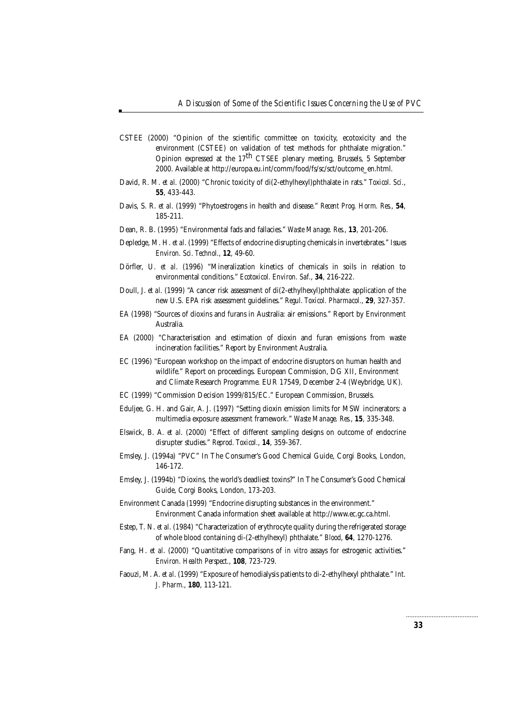- CSTEE (2000) "Opinion of the scientific committee on toxicity, ecotoxicity and the environment (CSTEE) on validation of test methods for phthalate migration." Opinion expressed at the  $17<sup>th</sup>$  CTSEE plenary meeting, Brussels, 5 September 2000. Available at http://europa.eu.int/comm/food/fs/sc/sct/outcome\_en.html.
- David, R. M. *et al*. (2000) "Chronic toxicity of di(2-ethylhexyl)phthalate in rats." *Toxicol. Sci.*, **55**, 433-443.
- Davis, S. R. *et al*. (1999) "Phytoestrogens in health and disease." *Recent Prog. Horm. Res.*, **54**, 185-211.
- Dean, R. B. (1995) "Environmental fads and fallacies." *Waste Manage. Res.*, **13**, 201-206.
- Depledge, M. H. *et al*. (1999) "Effects of endocrine disrupting chemicals in invertebrates." *Issues Environ. Sci. Technol.*, **12**, 49-60.
- Dörfler, U. *et al*. (1996) "Mineralization kinetics of chemicals in soils in relation to environmental conditions." *Ecotoxicol. Environ. Saf.*, **34**, 216-222.
- Doull, J. *et al*. (1999) "A cancer risk assessment of di(2-ethylhexyl)phthalate: application of the new U.S. EPA risk assessment guidelines." *Regul. Toxicol. Pharmacol.*, **29**, 327-357.
- EA (1998) "Sources of dioxins and furans in Australia: air emissions." Report by Environment Australia.
- EA (2000) "Characterisation and estimation of dioxin and furan emissions from waste incineration facilities." Report by Environment Australia.
- EC (1996) "European workshop on the impact of endocrine disruptors on human health and wildlife." Report on proceedings. European Commission, DG XII, Environment and Climate Research Programme. EUR 17549, December 2-4 (Weybridge, UK).
- EC (1999) "Commission Decision 1999/815/EC." European Commission, Brussels.
- Eduljee, G. H. and Gair, A. J. (1997) "Setting dioxin emission limits for MSW incinerators: a multimedia exposure assessment framework." *Waste Manage. Res.*, **15**, 335-348.
- Elswick, B. A. *et al*. (2000) "Effect of different sampling designs on outcome of endocrine disrupter studies." *Reprod. Toxicol.*, **14**, 359-367.
- Emsley, J. (1994a) "PVC" In The Consumer's Good Chemical Guide, Corgi Books, London, 146-172.
- Emsley, J. (1994b) "Dioxins, the world's deadliest toxins?" In The Consumer's Good Chemical Guide, Corgi Books, London, 173-203.
- Environment Canada (1999) "Endocrine disrupting substances in the environment." Environment Canada information sheet available at http://www.ec.gc.ca.html.
- Estep, T. N. *et al*. (1984) "Characterization of erythrocyte quality during the refrigerated storage of whole blood containing di-(2-ethylhexyl) phthalate." *Blood*, **64**, 1270-1276.
- Fang, H. *et al*. (2000) "Quantitative comparisons of *in vitro* assays for estrogenic activities." *Environ. Health Perspect.*, **108**, 723-729.
- Faouzi, M. A. *et al*. (1999) "Exposure of hemodialysis patients to di-2-ethylhexyl phthalate." *Int. J. Pharm.*, **180**, 113-121.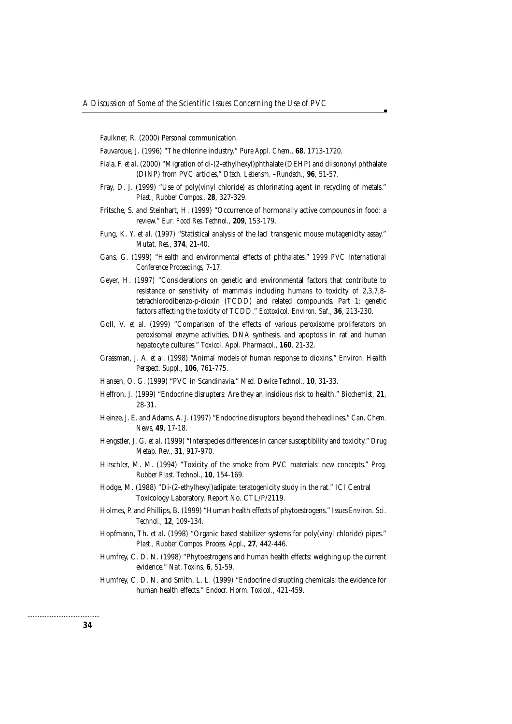Faulkner, R. (2000) Personal communication.

- Fauvarque, J. (1996) "The chlorine industry." *Pure Appl. Chem.*, **68**, 1713-1720.
- Fiala, F. *et al*. (2000) "Migration of di-(2-ethylhexyl)phthalate (DEHP) and diisononyl phthalate (DINP) from PVC articles." *Dtsch. Lebensm. –Rundsch.*, **96**, 51-57.
- Fray, D. J. (1999) "Use of poly(vinyl chloride) as chlorinating agent in recycling of metals." *Plast., Rubber Compos.*, **28**, 327-329.
- Fritsche, S. and Steinhart, H. (1999) "Occurrence of hormonally active compounds in food: a review." *Eur. Food Res. Technol.*, **209**, 153-179.
- Fung, K. Y. *et al*. (1997) "Statistical analysis of the lacI transgenic mouse mutagenicity assay." *Mutat. Res.*, **374**, 21-40.
- Gans, G. (1999) "Health and environmental effects of phthalates." *1999 PVC International Conference Proceedings,* 7-17.
- Geyer, H. (1997) "Considerations on genetic and environmental factors that contribute to resistance or sensitivity of mammals including humans to toxicity of 2,3,7,8 tetrachlorodibenzo-*p*-dioxin (TCDD) and related compounds. Part 1: genetic factors affecting the toxicity of TCDD." *Ecotoxicol. Environ. Saf.*, **36**, 213-230.
- Goll, V. *et al*. (1999) "Comparison of the effects of various peroxisome proliferators on peroxisomal enzyme activities, DNA synthesis, and apoptosis in rat and human hepatocyte cultures." *Toxicol. Appl. Pharmacol.*, **160**, 21-32.
- Grassman, J. A. *et al*. (1998) "Animal models of human response to dioxins." *Environ. Health Perspect. Suppl.*, **106**, 761-775.
- Hansen, O. G. (1999) "PVC in Scandinavia." *Med. Device Technol.*, **10**, 31-33.
- Heffron, J. (1999) "Endocrine disrupters: Are they an insidious risk to health." *Biochemist*, **21**, 28-31.
- Heinze, J. E. and Adams, A. J. (1997) "Endocrine disruptors: beyond the headlines." *Can. Chem. News*, **49**, 17-18.
- Hengstler, J. G. *et al*. (1999) "Interspecies differences in cancer susceptibility and toxicity." *Drug Metab. Rev.*, **31**, 917-970.
- Hirschler, M. M. (1994) "Toxicity of the smoke from PVC materials: new concepts." *Prog. Rubber Plast. Technol.*, **10**, 154-169.
- Hodge, M. (1988) "Di-(2-ethylhexyl)adipate: teratogenicity study in the rat." ICI Central Toxicology Laboratory, Report No. CTL/P/2119.
- Holmes, P. and Phillips, B. (1999) "Human health effects of phytoestrogens." *Issues Environ. Sci. Technol.*, **12**, 109-134.
- Hopfmann, Th. *et al.* (1998) "Organic based stabilizer systems for poly(vinyl chloride) pipes." *Plast., Rubber Compos. Process. Appl.*, **27**, 442-446.
- Humfrey, C. D. N. (1998) "Phytoestrogens and human health effects: weighing up the current evidence." *Nat. Toxins*, **6**, 51-59.
- Humfrey, C. D. N. and Smith, L. L. (1999) "Endocrine disrupting chemicals: the evidence for human health effects." *Endocr. Horm. Toxicol.*, 421-459.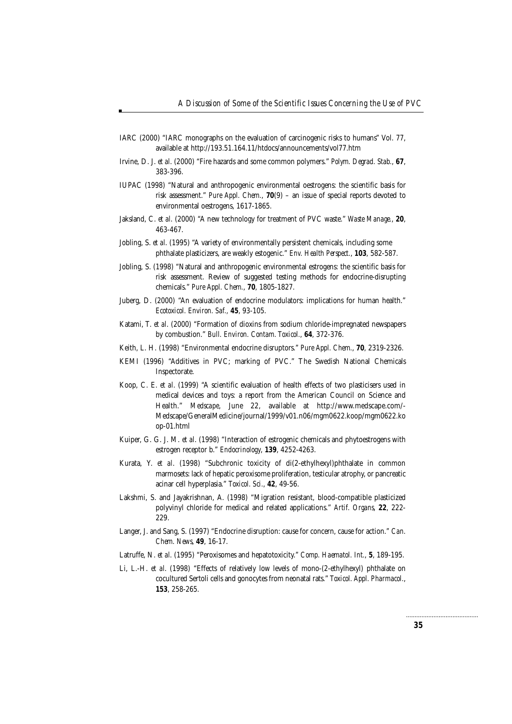- IARC (2000) "IARC monographs on the evaluation of carcinogenic risks to humans" Vol. 77, available at http://193.51.164.11/htdocs/announcements/vol77.htm
- Irvine, D. J. *et al*. (2000) "Fire hazards and some common polymers." *Polym. Degrad. Stab.*, **67**, 383-396.
- IUPAC (1998) "Natural and anthropogenic environmental oestrogens: the scientific basis for risk assessment." *Pure Appl. Chem.*, **70**(9) – an issue of special reports devoted to environmental oestrogens, 1617-1865.
- Jaksland, C. *et al*. (2000) "A new technology for treatment of PVC waste." *Waste Manage.*, **20**, 463-467.
- Jobling, S. *et al*. (1995) "A variety of environmentally persistent chemicals, including some phthalate plasticizers, are weakly estogenic." *Env. Health Perspect.*, **103**, 582-587.
- Jobling, S. (1998) "Natural and anthropogenic environmental estrogens: the scientific basis for risk assessment. Review of suggested testing methods for endocrine-disrupting chemicals." *Pure Appl. Chem.*, **70**, 1805-1827.
- Juberg, D. (2000) "An evaluation of endocrine modulators: implications for human health." *Ecotoxicol. Environ. Saf.,* **45**, 93-105.
- Katami, T. *et al*. (2000) "Formation of dioxins from sodium chloride-impregnated newspapers by combustion." *Bull. Environ. Contam. Toxicol.*, **64**, 372-376.
- Keith, L. H. (1998) "Environmental endocrine disruptors." *Pure Appl. Chem.*, **70**, 2319-2326.
- KEMI (1996) "Additives in PVC; marking of PVC." The Swedish National Chemicals Inspectorate.
- Koop, C. E. *et al*. (1999) "A scientific evaluation of health effects of two plasticisers used in medical devices and toys: a report from the American Council on Science and Health." *Medscape*, June 22, available at http://www.medscape.com/- Medscape/GeneralMedicine/journal/1999/v01.n06/mgm0622.koop/mgm0622.ko op-01.html
- Kuiper, G. G. J. M. *et al*. (1998) "Interaction of estrogenic chemicals and phytoestrogens with estrogen receptor b." *Endocrinology*, **139**, 4252-4263.
- Kurata, Y. *et al*. (1998) "Subchronic toxicity of di(2-ethylhexyl)phthalate in common marmosets: lack of hepatic peroxisome proliferation, testicular atrophy, or pancreatic acinar cell hyperplasia." *Toxicol. Sci.*, **42**, 49-56.
- Lakshmi, S. and Jayakrishnan, A. (1998) "Migration resistant, blood-compatible plasticized polyvinyl chloride for medical and related applications." *Artif. Organs*, **22**, 222- 229.
- Langer, J. and Sang, S. (1997) "Endocrine disruption: cause for concern, cause for action." *Can. Chem. News*, **49**, 16-17.
- Latruffe, N. *et al*. (1995) "Peroxisomes and hepatotoxicity." *Comp. Haematol. Int.*, **5**, 189-195.
- Li, L.-H. *et al*. (1998) "Effects of relatively low levels of mono-(2-ethylhexyl) phthalate on cocultured Sertoli cells and gonocytes from neonatal rats." *Toxicol. Appl. Pharmacol.*, **153**, 258-265.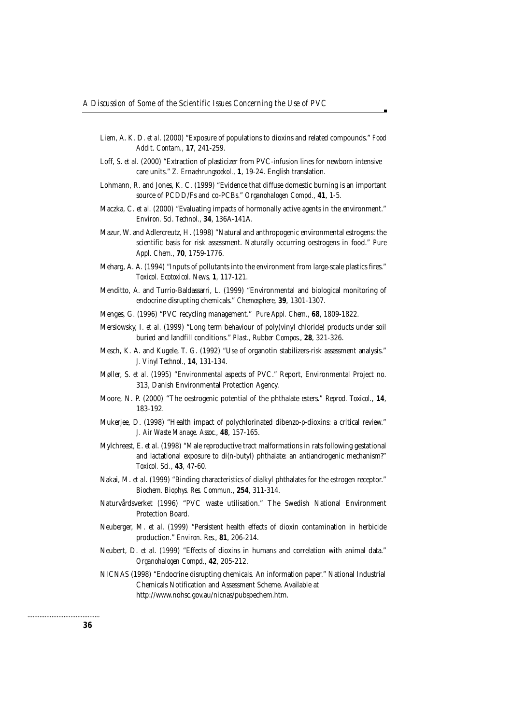- Liem, A. K. D. *et al*. (2000) "Exposure of populations to dioxins and related compounds." *Food Addit. Contam.*, **17**, 241-259.
- Loff, S. *et al*. (2000) "Extraction of plasticizer from PVC-infusion lines for newborn intensive care units." *Z. Ernaehrungsoekol.*, **1**, 19-24. English translation.
- Lohmann, R. and Jones, K. C. (1999) "Evidence that diffuse domestic burning is an important source of PCDD/Fs and co-PCBs." *Organohalogen Compd.*, **41**, 1-5.
- Maczka, C. *et al*. (2000) "Evaluating impacts of hormonally active agents in the environment." *Environ. Sci. Technol.*, **34**, 136A-141A.
- Mazur, W. and Adlercreutz, H. (1998) "Natural and anthropogenic environmental estrogens: the scientific basis for risk assessment. Naturally occurring oestrogens in food." *Pure Appl. Chem.*, **70**, 1759-1776.
- Meharg, A. A. (1994) "Inputs of pollutants into the environment from large-scale plastics fires." *Toxicol. Ecotoxicol. News*, **1**, 117-121.
- Menditto, A. and Turrio-Baldassarri, L. (1999) "Environmental and biological monitoring of endocrine disrupting chemicals." *Chemosphere*, **39**, 1301-1307.
- Menges, G. (1996) "PVC recycling management." *Pure Appl. Chem.*, **68**, 1809-1822.
- Mersiowsky, I. *et al*. (1999) "Long term behaviour of poly(vinyl chloride) products under soil buried and landfill conditions." *Plast., Rubber Compos.*, **28**, 321-326.
- Mesch, K. A. and Kugele, T. G. (1992) "Use of organotin stabilizers-risk assessment analysis." *J. Vinyl Technol.*, **14**, 131-134.
- Møller, S. *et al*. (1995) "Environmental aspects of PVC." Report, Environmental Project no. 313, Danish Environmental Protection Agency.
- Moore, N. P. (2000) "The oestrogenic potential of the phthalate esters." *Reprod. Toxicol.*, **14**, 183-192.
- Mukerjee, D. (1998) "Health impact of polychlorinated dibenzo-*p*-dioxins: a critical review." *J. Air Waste Manage. Assoc.*, **48**, 157-165.
- Mylchreest, E. *et al*. (1998) "Male reproductive tract malformations in rats following gestational and lactational exposure to di(*n*-butyl) phthalate: an antiandrogenic mechanism?" *Toxicol. Sci.*, **43**, 47-60.
- Nakai, M. *et al*. (1999) "Binding characteristics of dialkyl phthalates for the estrogen receptor." *Biochem. Biophys. Res. Commun.*, **254**, 311-314.
- Naturvårdsverket (1996) "PVC waste utilisation." The Swedish National Environment Protection Board.
- Neuberger, M. *et al*. (1999) "Persistent health effects of dioxin contamination in herbicide production." *Environ. Res.*, **81**, 206-214.
- Neubert, D. *et al.* (1999) "Effects of dioxins in humans and correlation with animal data." *Organohalogen Compd.*, **42**, 205-212.
- NICNAS (1998) "Endocrine disrupting chemicals. An information paper." National Industrial Chemicals Notification and Assessment Scheme. Available at http://www.nohsc.gov.au/nicnas/pubspechem.htm.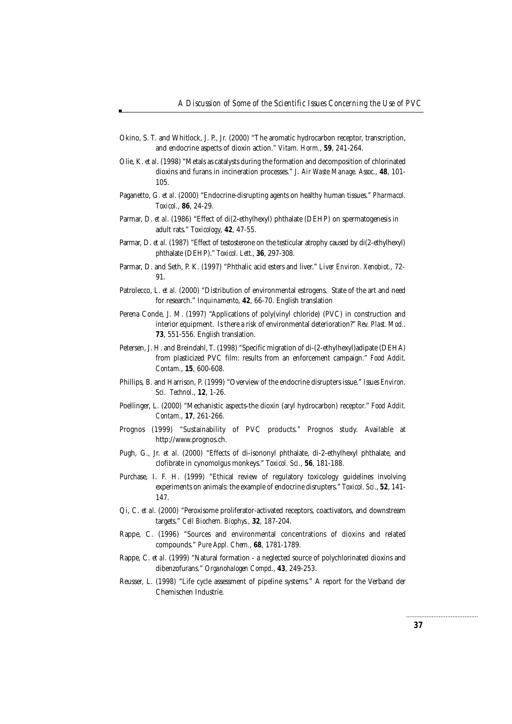- Okino, S. T. and Whitlock, J. P., Jr. (2000) "The aromatic hydrocarbon receptor, transcription, and endocrine aspects of dioxin action." *Vitam. Horm.*, **59**, 241-264.
- Olie, K. *et al*. (1998) "Metals as catalysts during the formation and decomposition of chlorinated dioxins and furans in incineration processes." *J. Air Waste Manage. Assoc.*, **48**, 101- 105.
- Paganetto, G. *et al*. (2000) "Endocrine-disrupting agents on healthy human tissues." *Pharmacol. Toxicol.*, **86**, 24-29.
- Parmar, D. *et al*. (1986) "Effect of di(2-ethylhexyl) phthalate (DEHP) on spermatogenesis in adult rats." *Toxicology*, **42**, 47-55.
- Parmar, D. *et al*. (1987) "Effect of testosterone on the testicular atrophy caused by di(2-ethylhexyl) phthalate (DEHP)." *Toxicol. Lett.*, **36**, 297-308.
- Parmar, D. and Seth, P. K. (1997) "Phthalic acid esters and liver." *Liver Environ. Xenobiot.*, 72- 91.
- Patrolecco, L. *et al*. (2000) "Distribution of environmental estrogens. State of the art and need for research." *Inquinamento*, **42**, 66-70. English translation
- Perena Conde, J. M. (1997) "Applications of poly(vinyl chloride) (PVC) in construction and interior equipment. Is there a risk of environmental deterioration?" *Rev. Plast. Mod.*. **73**, 551-556. English translation.
- Petersen, J. H. and Breindahl, T. (1998) "Specific migration of di-(2-ethylhexyl)adipate (DEHA) from plasticized PVC film: results from an enforcement campaign." *Food Addit. Contam.*, **15**, 600-608.
- Phillips, B. and Harrison, P. (1999) "Overview of the endocrine disrupters issue." *Issues Environ. Sci. Technol.*, **12**, 1-26.
- Poellinger, L. (2000) "Mechanistic aspects-the dioxin (aryl hydrocarbon) receptor." *Food Addit. Contam.*, **17**, 261-266.
- Prognos (1999) "Sustainability of PVC products." Prognos study. Available at http://www.prognos.ch.
- Pugh, G., Jr. *et al*. (2000) "Effects of di-isononyl phthalate, di-2-ethylhexyl phthalate, and clofibrate in cynomolgus monkeys." *Toxicol. Sci.*, **56**, 181-188.
- Purchase, I. F. H. (1999) "Ethical review of regulatory toxicology guidelines involving experiments on animals: the example of endocrine disrupters." *Toxicol. Sci.*, **52**, 141- 147.
- Qi, C. *et al*. (2000) "Peroxisome proliferator-activated receptors, coactivators, and downstream targets." *Cell Biochem. Biophys.*, **32**, 187-204.
- Rappe, C. (1996) "Sources and environmental concentrations of dioxins and related compounds." *Pure Appl. Chem.*, **68**, 1781-1789.
- Rappe, C. *et al*. (1999) "Natural formation a neglected source of polychlorinated dioxins and dibenzofurans." *Organohalogen Compd.*, **43**, 249-253.
- Reusser, L. (1998) "Life cycle assessment of pipeline systems." A report for the Verband der Chemischen Industrie.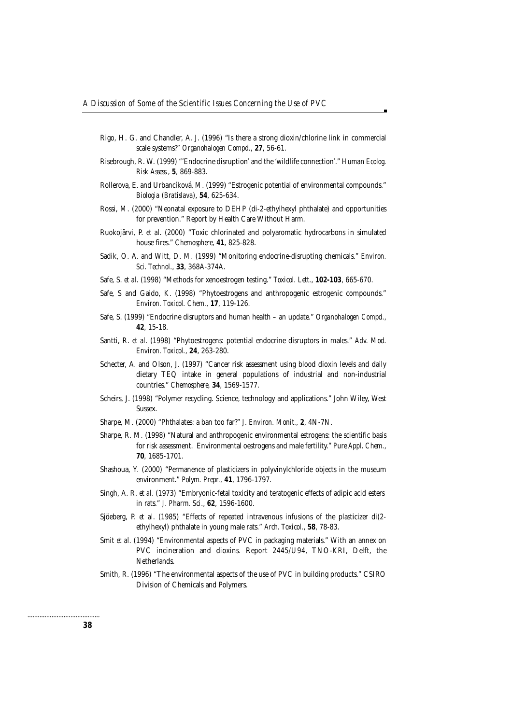- Rigo, H. G. and Chandler, A. J. (1996) "Is there a strong dioxin/chlorine link in commercial scale systems?" *Organohalogen Compd.*, **27**, 56-61.
- Risebrough, R. W. (1999) "'Endocrine disruption' and the 'wildlife connection'." *Human Ecolog. Risk Assess.*, **5**, 869-883.
- Rollerova, E. and Urbancíková, M. (1999) "Estrogenic potential of environmental compounds." *Biologia (Bratislava)*, **54**, 625-634.
- Rossi, M. (2000) "Neonatal exposure to DEHP (di-2-ethylhexyl phthalate) and opportunities for prevention." Report by Health Care Without Harm.
- Ruokojärvi, P. *et al*. (2000) "Toxic chlorinated and polyaromatic hydrocarbons in simulated house fires." *Chemosphere*, **41**, 825-828.
- Sadik, O. A. and Witt, D. M. (1999) "Monitoring endocrine-disrupting chemicals." *Environ. Sci. Technol.*, **33**, 368A-374A.
- Safe, S. *et al*. (1998) "Methods for xenoestrogen testing." *Toxicol. Lett.*, **102-103**, 665-670.
- Safe, S and Gaido, K. (1998) "Phytoestrogens and anthropogenic estrogenic compounds." *Environ. Toxicol. Chem.*, **17**, 119-126.
- Safe, S. (1999) "Endocrine disruptors and human health an update." *Organohalogen Compd.*, **42**, 15-18.
- Santti, R. *et al*. (1998) "Phytoestrogens: potential endocrine disruptors in males." *Adv. Mod. Environ. Toxicol.*, **24**, 263-280.
- Schecter, A. and Olson, J. (1997) "Cancer risk assessment using blood dioxin levels and daily dietary TEQ intake in general populations of industrial and non-industrial countries." *Chemosphere*, **34**, 1569-1577.
- Scheirs, J. (1998) "Polymer recycling. Science, technology and applications." John Wiley, West Sussex.
- Sharpe, M. (2000) "Phthalates: a ban too far?" *J. Environ. Monit.*, **2**, 4N-7N.
- Sharpe, R. M. (1998) "Natural and anthropogenic environmental estrogens: the scientific basis for risk assessment. Environmental oestrogens and male fertility." *Pure Appl. Chem.*, **70**, 1685-1701.
- Shashoua, Y. (2000) "Permanence of plasticizers in polyvinylchloride objects in the museum environment." *Polym. Prepr.*, **41**, 1796-1797.
- Singh, A. R. *et al*. (1973) "Embryonic-fetal toxicity and teratogenic effects of adipic acid esters in rats." *J. Pharm. Sci.*, **62**, 1596-1600.
- Sjöeberg, P. *et al*. (1985) "Effects of repeated intravenous infusions of the plasticizer di(2 ethylhexyl) phthalate in young male rats." *Arch. Toxicol.*, **58**, 78-83.
- Smit *et al*. (1994) "Environmental aspects of PVC in packaging materials." With an annex on PVC incineration and dioxins. Report 2445/U94, TNO-KRI, Delft, the Netherlands.
- Smith, R. (1996) "The environmental aspects of the use of PVC in building products." CSIRO Division of Chemicals and Polymers.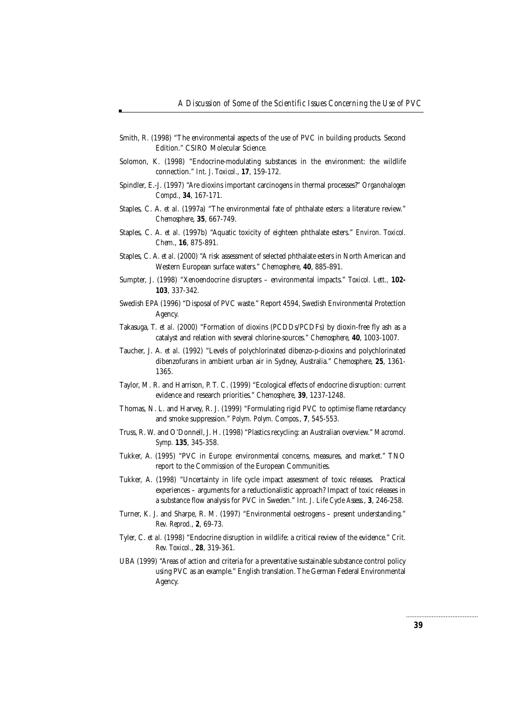- Smith, R. (1998) "The environmental aspects of the use of PVC in building products. Second Edition." CSIRO Molecular Science.
- Solomon, K. (1998) "Endocrine-modulating substances in the environment: the wildlife connection." *Int. J. Toxicol.*, **17**, 159-172.
- Spindler, E.-J. (1997) "Are dioxins important carcinogens in thermal processes?" *Organohalogen Compd.*, **34**, 167-171.
- Staples, C. A. *et al*. (1997a) "The environmental fate of phthalate esters: a literature review." *Chemosphere*, **35**, 667-749.
- Staples, C. A. *et al*. (1997b) "Aquatic toxicity of eighteen phthalate esters." *Environ. Toxicol. Chem.*, **16**, 875-891.
- Staples, C. A. *et al*. (2000) "A risk assessment of selected phthalate esters in North American and Western European surface waters." *Chemosphere*, **40**, 885-891.
- Sumpter, J. (1998) "Xenoendocrine disrupters environmental impacts." *Toxicol. Lett.,* **102- 103**, 337-342.
- Swedish EPA (1996) "Disposal of PVC waste." Report 4594, Swedish Environmental Protection Agency.
- Takasuga, T. *et al*. (2000) "Formation of dioxins (PCDDs/PCDFs) by dioxin-free fly ash as a catalyst and relation with several chlorine-sources." *Chemosphere*, **40**, 1003-1007.
- Taucher, J. A. *et al*. (1992) "Levels of polychlorinated dibenzo-*p*-dioxins and polychlorinated dibenzofurans in ambient urban air in Sydney, Australia." *Chemosphere*, **25**, 1361- 1365.
- Taylor, M. R. and Harrison, P. T. C. (1999) "Ecological effects of endocrine disruption: current evidence and research priorities." *Chemosphere*, **39**, 1237-1248.
- Thomas, N. L. and Harvey, R. J. (1999) "Formulating rigid PVC to optimise flame retardancy and smoke suppression." *Polym. Polym. Compos.*, **7**, 545-553.
- Truss, R. W. and O'Donnell, J. H. (1998) "Plastics recycling: an Australian overview." *Macromol. Symp.* **135**, 345-358.
- Tukker, A. (1995) "PVC in Europe: environmental concerns, measures, and market." TNO report to the Commission of the European Communities.
- Tukker, A. (1998) "Uncertainty in life cycle impact assessment of toxic releases. Practical experiences – arguments for a reductionalistic approach? Impact of toxic releases in a substance flow analysis for PVC in Sweden." *Int. J. Life Cycle Assess.*, **3**, 246-258.
- Turner, K. J. and Sharpe, R. M. (1997) "Environmental oestrogens present understanding." *Rev. Reprod.*, **2**, 69-73.
- Tyler, C. *et al.* (1998) "Endocrine disruption in wildlife: a critical review of the evidence." *Crit. Rev. Toxicol.*, **28**, 319-361.
- UBA (1999) "Areas of action and criteria for a preventative sustainable substance control policy using PVC as an example." English translation. The German Federal Environmental Agency.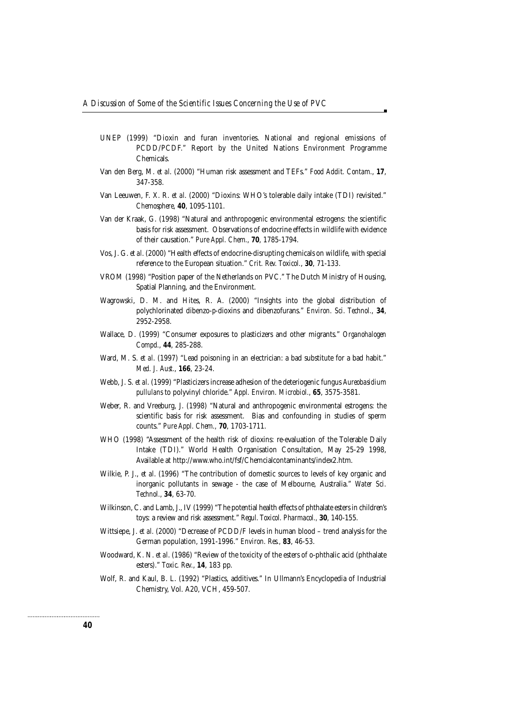- UNEP (1999) "Dioxin and furan inventories. National and regional emissions of PCDD/PCDF." Report by the United Nations Environment Programme Chemicals.
- Van den Berg, M. *et al*. (2000) "Human risk assessment and TEFs." *Food Addit. Contam.*, **17**, 347-358.
- Van Leeuwen, F. X. R. *et al*. (2000) "Dioxins: WHO's tolerable daily intake (TDI) revisited." *Chemosphere*, **40**, 1095-1101.
- Van der Kraak, G. (1998) "Natural and anthropogenic environmental estrogens: the scientific basis for risk assessment. Observations of endocrine effects in wildlife with evidence of their causation." *Pure Appl. Chem.*, **70**, 1785-1794.
- Vos, J. G. *et al*. (2000) "Health effects of endocrine-disrupting chemicals on wildlife, with special reference to the European situation." *Crit. Rev. Toxicol.*, **30**, 71-133.
- VROM (1998) "Position paper of the Netherlands on PVC." The Dutch Ministry of Housing, Spatial Planning, and the Environment.
- Wagrowski, D. M. and Hites, R. A. (2000) "Insights into the global distribution of polychlorinated dibenzo-*p*-dioxins and dibenzofurans." *Environ. Sci. Technol.*, **34**, 2952-2958.
- Wallace, D. (1999) "Consumer exposures to plasticizers and other migrants." *Organohalogen Compd.*, **44**, 285-288.
- Ward, M. S. *et al*. (1997) "Lead poisoning in an electrician: a bad substitute for a bad habit." *Med. J. Aust.*, **166**, 23-24.
- Webb, J. S. *et al*. (1999) "Plasticizers increase adhesion of the deteriogenic fungus *Aureobasidium pullulans* to polyvinyl chloride." *Appl. Environ. Microbiol.*, **65**, 3575-3581.
- Weber, R. and Vreeburg, J. (1998) "Natural and anthropogenic environmental estrogens: the scientific basis for risk assessment. Bias and confounding in studies of sperm counts." *Pure Appl. Chem.,* **70**, 1703-1711.
- WHO (1998) "Assessment of the health risk of dioxins: re-evaluation of the Tolerable Daily Intake (TDI)." World Health Organisation Consultation, May 25-29 1998, Available at http://www.who.int/fsf/Chemcialcontaminants/index2.htm.
- Wilkie, P. J., *et al*. (1996) "The contribution of domestic sources to levels of key organic and inorganic pollutants in sewage - the case of Melbourne, Australia." *Water Sci. Technol.*, **34**, 63-70.
- Wilkinson, C. and Lamb, J., IV (1999) "The potential health effects of phthalate esters in children's toys: a review and risk assessment." *Regul. Toxicol. Pharmacol.,* **30**, 140-155.
- Wittsiepe, J. *et al.* (2000) "Decrease of PCDD/F levels in human blood trend analysis for the German population, 1991-1996." *Environ. Res.,* **83**, 46-53.
- Woodward, K. N. *et al*. (1986) "Review of the toxicity of the esters of o-phthalic acid (phthalate esters)." *Toxic. Rev.*, **14**, 183 pp.
- Wolf, R. and Kaul, B. L. (1992) "Plastics, additives." In Ullmann's Encyclopedia of Industrial Chemistry, Vol. A20, VCH, 459-507.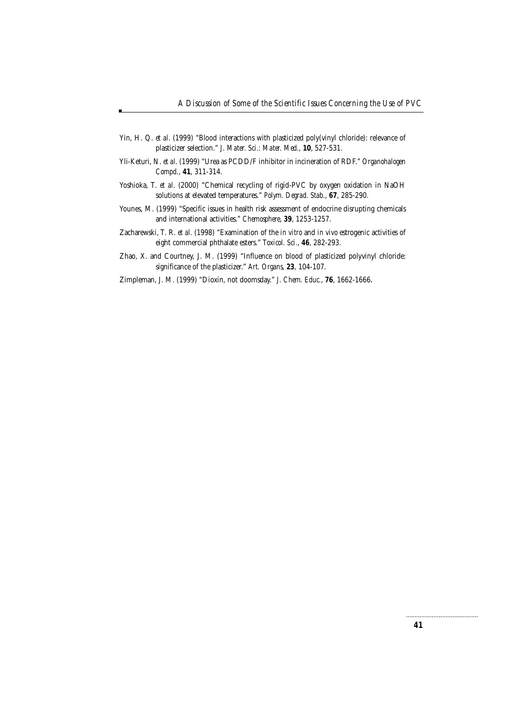- Yin, H. Q. *et al*. (1999) "Blood interactions with plasticized poly(vinyl chloride): relevance of plasticizer selection." *J. Mater. Sci.: Mater. Med.*, **10**, 527-531.
- Yli-Keturi, N. *et al*. (1999) "Urea as PCDD/F inhibitor in incineration of RDF." *Organohalogen Compd.*, **41**, 311-314.
- Yoshioka, T. *et al*. (2000) "Chemical recycling of rigid-PVC by oxygen oxidation in NaOH solutions at elevated temperatures." *Polym. Degrad. Stab.*, **67**, 285-290.
- Younes, M. (1999) "Specific issues in health risk assessment of endocrine disrupting chemicals and international activities." *Chemosphere*, **39**, 1253-1257.
- Zacharewski, T. R. *et al*. (1998) "Examination of the *in vitro* and *in vivo* estrogenic activities of eight commercial phthalate esters." *Toxicol. Sci.*, **46**, 282-293.
- Zhao, X. and Courtney, J. M. (1999) "Influence on blood of plasticized polyvinyl chloride: significance of the plasticizer." *Art. Organs*, **23**, 104-107.

Zimpleman, J. M. (1999) "Dioxin, not doomsday." *J. Chem. Educ.*, **76**, 1662-1666.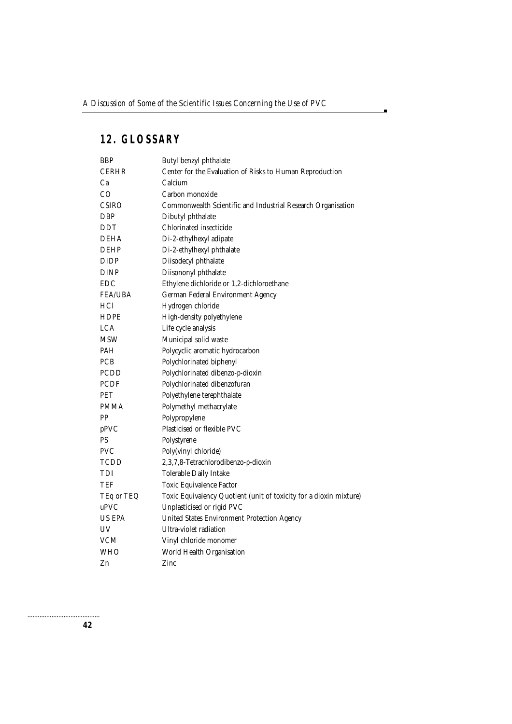a,

# **12. GLOSSARY**

| BBP            | Butyl benzyl phthalate                                             |
|----------------|--------------------------------------------------------------------|
| CERHR          | Center for the Evaluation of Risks to Human Reproduction           |
| Ca             | Calcium                                                            |
| CO             | Carbon monoxide                                                    |
| <b>CSIRO</b>   | Commonwealth Scientific and Industrial Research Organisation       |
| DBP            | Dibutyl phthalate                                                  |
| DDT            | Chlorinated insecticide                                            |
| DEHA           | Di-2-ethylhexyl adipate                                            |
| DEHP           | Di-2-ethylhexyl phthalate                                          |
| DIDP           | Diisodecyl phthalate                                               |
| DINP           | Diisononyl phthalate                                               |
| <b>EDC</b>     | Ethylene dichloride or 1,2-dichloroethane                          |
| <b>FEA/UBA</b> | German Federal Environment Agency                                  |
| HCl            | Hydrogen chloride                                                  |
| <b>HDPE</b>    | High-density polyethylene                                          |
| LCA            | Life cycle analysis                                                |
| MSW            | Municipal solid waste                                              |
| PAH            | Polycyclic aromatic hydrocarbon                                    |
| PCB            | Polychlorinated biphenyl                                           |
| PCDD           | Polychlorinated dibenzo-p-dioxin                                   |
| <b>PCDF</b>    | Polychlorinated dibenzofuran                                       |
| PET            | Polyethylene terephthalate                                         |
| <b>PMMA</b>    | Polymethyl methacrylate                                            |
| PP             | Polypropylene                                                      |
| pPVC           | Plasticised or flexible PVC                                        |
| PS             | Polystyrene                                                        |
| <b>PVC</b>     | Poly(vinyl chloride)                                               |
| TCDD           | 2,3,7,8-Tetrachlorodibenzo-p-dioxin                                |
| TDI            | Tolerable Daily Intake                                             |
| TEF            | Toxic Equivalence Factor                                           |
| TEq or TEQ     | Toxic Equivalency Quotient (unit of toxicity for a dioxin mixture) |
| uPVC           | Unplasticised or rigid PVC                                         |
| <b>US EPA</b>  | United States Environment Protection Agency                        |
| UV             | Ultra-violet radiation                                             |
| <b>VCM</b>     | Vinyl chloride monomer                                             |
| <b>WHO</b>     | World Health Organisation                                          |
| Zn             | Zinc                                                               |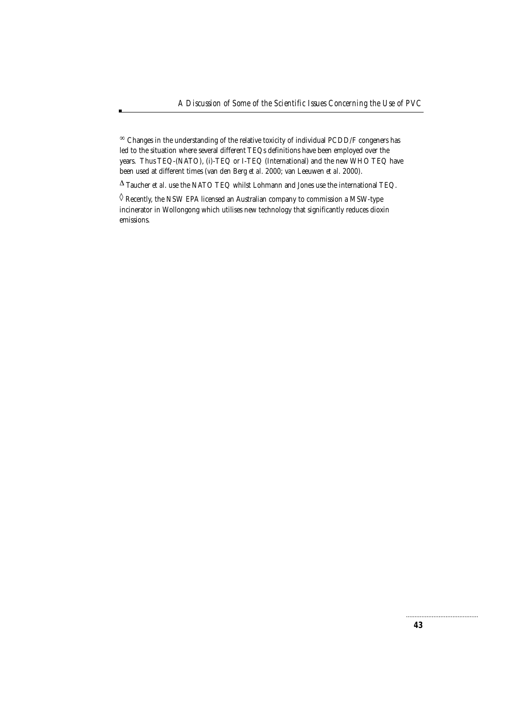∞ Changes in the understanding of the relative toxicity of individual PCDD/F congeners has led to the situation where several different TEQs definitions have been employed over the years. Thus TEQ-(NATO), (i)-TEQ or I-TEQ (International) and the new WHO TEQ have been used at different times (van den Berg *et al*. 2000; van Leeuwen *et al*. 2000).

 $\Delta$  Taucher  $\emph{et al.}$  use the NATO TEQ whilst Lohmann and Jones use the international TEQ.

 $\Diamond$  Recently, the NSW EPA licensed an Australian company to commission a MSW-type incinerator in Wollongong which utilises new technology that significantly reduces dioxin emissions.